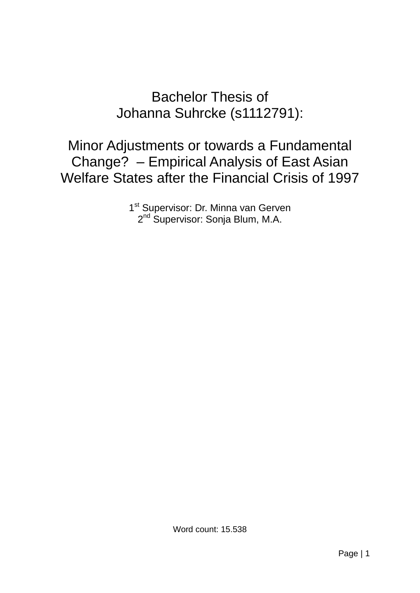# Bachelor Thesis of Johanna Suhrcke (s1112791):

Minor Adjustments or towards a Fundamental Change? – Empirical Analysis of East Asian Welfare States after the Financial Crisis of 1997

> 1<sup>st</sup> Supervisor: Dr. Minna van Gerven 2<sup>nd</sup> Supervisor: Sonja Blum, M.A.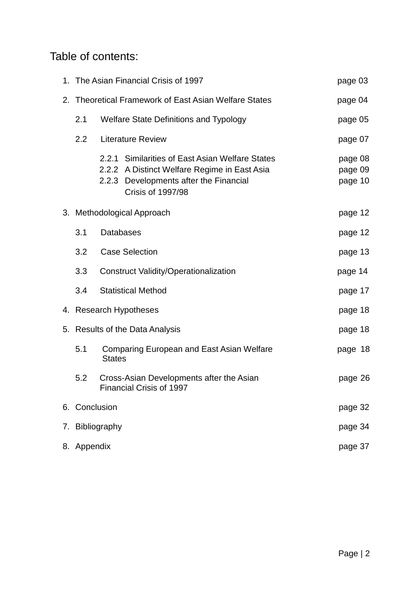## Table of contents:

| 1. The Asian Financial Crisis of 1997<br>page 03 |                                                       |                                                                                                                                                                       |                               |  |  |  |  |  |
|--------------------------------------------------|-------------------------------------------------------|-----------------------------------------------------------------------------------------------------------------------------------------------------------------------|-------------------------------|--|--|--|--|--|
|                                                  | 2. Theoretical Framework of East Asian Welfare States |                                                                                                                                                                       |                               |  |  |  |  |  |
| 2.1                                              |                                                       | <b>Welfare State Definitions and Typology</b>                                                                                                                         | page 05                       |  |  |  |  |  |
| 2.2                                              |                                                       | <b>Literature Review</b>                                                                                                                                              | page 07                       |  |  |  |  |  |
|                                                  |                                                       | 2.2.1 Similarities of East Asian Welfare States<br>2.2.2 A Distinct Welfare Regime in East Asia<br>2.2.3 Developments after the Financial<br><b>Crisis of 1997/98</b> | page 08<br>page 09<br>page 10 |  |  |  |  |  |
|                                                  | 3. Methodological Approach                            | page 12                                                                                                                                                               |                               |  |  |  |  |  |
| 3.1                                              | <b>Databases</b>                                      |                                                                                                                                                                       | page 12                       |  |  |  |  |  |
| 3.2                                              |                                                       | <b>Case Selection</b>                                                                                                                                                 | page 13                       |  |  |  |  |  |
| 3.3                                              |                                                       | <b>Construct Validity/Operationalization</b>                                                                                                                          | page 14                       |  |  |  |  |  |
| 3.4                                              |                                                       | <b>Statistical Method</b>                                                                                                                                             | page 17                       |  |  |  |  |  |
|                                                  |                                                       | 4. Research Hypotheses                                                                                                                                                | page 18                       |  |  |  |  |  |
|                                                  |                                                       | 5. Results of the Data Analysis                                                                                                                                       | page 18                       |  |  |  |  |  |
| 5.1                                              | <b>States</b>                                         | <b>Comparing European and East Asian Welfare</b>                                                                                                                      | page 18                       |  |  |  |  |  |
| 5.2                                              |                                                       | Cross-Asian Developments after the Asian<br><b>Financial Crisis of 1997</b>                                                                                           | page 26                       |  |  |  |  |  |
| 6. Conclusion                                    |                                                       |                                                                                                                                                                       | page 32                       |  |  |  |  |  |
|                                                  | 7. Bibliography                                       |                                                                                                                                                                       | page 34                       |  |  |  |  |  |
| 8. Appendix<br>page 37                           |                                                       |                                                                                                                                                                       |                               |  |  |  |  |  |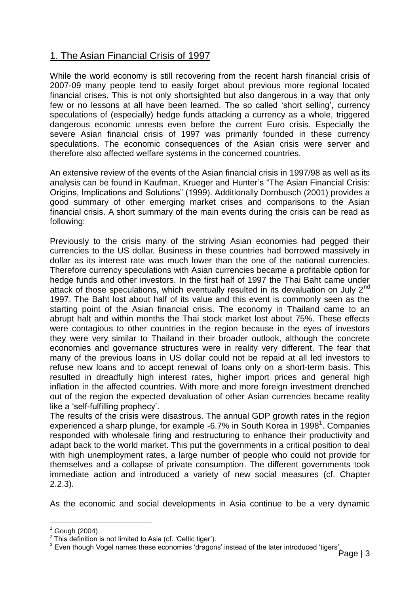## 1. The Asian Financial Crisis of 1997

While the world economy is still recovering from the recent harsh financial crisis of 2007-09 many people tend to easily forget about previous more regional located financial crises. This is not only shortsighted but also dangerous in a way that only few or no lessons at all have been learned. The so called "short selling", currency speculations of (especially) hedge funds attacking a currency as a whole, triggered dangerous economic unrests even before the current Euro crisis. Especially the severe Asian financial crisis of 1997 was primarily founded in these currency speculations. The economic consequences of the Asian crisis were server and therefore also affected welfare systems in the concerned countries.

An extensive review of the events of the Asian financial crisis in 1997/98 as well as its analysis can be found in Kaufman, Krueger and Hunter"s "The Asian Financial Crisis: Origins, Implications and Solutions" (1999). Additionally Dornbusch (2001) provides a good summary of other emerging market crises and comparisons to the Asian financial crisis. A short summary of the main events during the crisis can be read as following:

Previously to the crisis many of the striving Asian economies had pegged their currencies to the US dollar. Business in these countries had borrowed massively in dollar as its interest rate was much lower than the one of the national currencies. Therefore currency speculations with Asian currencies became a profitable option for hedge funds and other investors. In the first half of 1997 the Thai Baht came under attack of those speculations, which eventually resulted in its devaluation on July  $2^{nd}$ 1997. The Baht lost about half of its value and this event is commonly seen as the starting point of the Asian financial crisis. The economy in Thailand came to an abrupt halt and within months the Thai stock market lost about 75%. These effects were contagious to other countries in the region because in the eyes of investors they were very similar to Thailand in their broader outlook, although the concrete economies and governance structures were in reality very different. The fear that many of the previous loans in US dollar could not be repaid at all led investors to refuse new loans and to accept renewal of loans only on a short-term basis. This resulted in dreadfully high interest rates, higher import prices and general high inflation in the affected countries. With more and more foreign investment drenched out of the region the expected devaluation of other Asian currencies became reality like a 'self-fulfilling prophecy'.

The results of the crisis were disastrous. The annual GDP growth rates in the region experienced a sharp plunge, for example  $-6.7\%$  in South Korea in 1998<sup>1</sup>. Companies responded with wholesale firing and restructuring to enhance their productivity and adapt back to the world market. This put the governments in a critical position to deal with high unemployment rates, a large number of people who could not provide for themselves and a collapse of private consumption. The different governments took immediate action and introduced a variety of new social measures (cf. Chapter 2.2.3).

As the economic and social developments in Asia continue to be a very dynamic

<u>.</u>

 $1$  Gough (2004)

 $2$  This definition is not limited to Asia (cf. 'Celtic tiger').

<sup>&</sup>lt;sup>3</sup> Even though Vogel names these economies 'dragons' instead of the later introduced 'tigers'.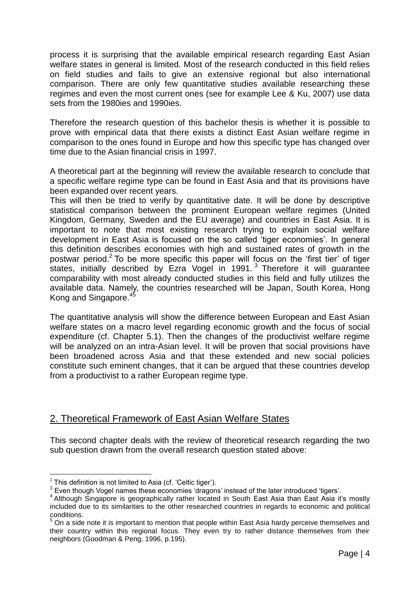process it is surprising that the available empirical research regarding East Asian welfare states in general is limited. Most of the research conducted in this field relies on field studies and fails to give an extensive regional but also international comparison. There are only few quantitative studies available researching these regimes and even the most current ones (see for example Lee & Ku, 2007) use data sets from the 1980ies and 1990ies.

Therefore the research question of this bachelor thesis is whether it is possible to prove with empirical data that there exists a distinct East Asian welfare regime in comparison to the ones found in Europe and how this specific type has changed over time due to the Asian financial crisis in 1997.

A theoretical part at the beginning will review the available research to conclude that a specific welfare regime type can be found in East Asia and that its provisions have been expanded over recent years.

This will then be tried to verify by quantitative date. It will be done by descriptive statistical comparison between the prominent European welfare regimes (United Kingdom, Germany, Sweden and the EU average) and countries in East Asia. It is important to note that most existing research trying to explain social welfare development in East Asia is focused on the so called "tiger economies". In general this definition describes economies with high and sustained rates of growth in the postwar period.<sup>2</sup> To be more specific this paper will focus on the 'first tier' of tiger states, initially described by Ezra Vogel in 1991.<sup>3</sup> Therefore it will guarantee comparability with most already conducted studies in this field and fully utilizes the available data. Namely, the countries researched will be Japan, South Korea, Hong Kong and Singapore.<sup>45</sup>

The quantitative analysis will show the difference between European and East Asian welfare states on a macro level regarding economic growth and the focus of social expenditure (cf. Chapter 5.1). Then the changes of the productivist welfare regime will be analyzed on an intra-Asian level. It will be proven that social provisions have been broadened across Asia and that these extended and new social policies constitute such eminent changes, that it can be argued that these countries develop from a productivist to a rather European regime type.

## 2. Theoretical Framework of East Asian Welfare States

This second chapter deals with the review of theoretical research regarding the two sub question drawn from the overall research question stated above:

1

 $2$  This definition is not limited to Asia (cf. 'Celtic tiger').

 $3$  Even though Vogel names these economies 'dragons' instead of the later introduced 'tigers'.

<sup>&</sup>lt;sup>4</sup> Although Singapore is geographically rather located in South East Asia than East Asia it's mostly included due to its similarities to the other researched countries in regards to economic and political conditions.

 $\dot{\rm b}$  On a side note it is important to mention that people within East Asia hardy perceive themselves and their country within this regional focus. They even try to rather distance themselves from their neighbors (Goodman & Peng, 1996, p.195).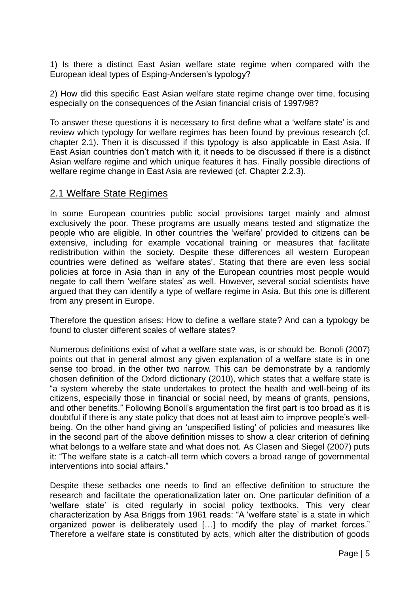1) Is there a distinct East Asian welfare state regime when compared with the European ideal types of Esping-Andersen"s typology?

2) How did this specific East Asian welfare state regime change over time, focusing especially on the consequences of the Asian financial crisis of 1997/98?

To answer these questions it is necessary to first define what a "welfare state" is and review which typology for welfare regimes has been found by previous research (cf. chapter 2.1). Then it is discussed if this typology is also applicable in East Asia. If East Asian countries don"t match with it, it needs to be discussed if there is a distinct Asian welfare regime and which unique features it has. Finally possible directions of welfare regime change in East Asia are reviewed (cf. Chapter 2.2.3).

## 2.1 Welfare State Regimes

In some European countries public social provisions target mainly and almost exclusively the poor. These programs are usually means tested and stigmatize the people who are eligible. In other countries the "welfare" provided to citizens can be extensive, including for example vocational training or measures that facilitate redistribution within the society. Despite these differences all western European countries were defined as "welfare states". Stating that there are even less social policies at force in Asia than in any of the European countries most people would negate to call them "welfare states" as well. However, several social scientists have argued that they can identify a type of welfare regime in Asia. But this one is different from any present in Europe.

Therefore the question arises: How to define a welfare state? And can a typology be found to cluster different scales of welfare states?

Numerous definitions exist of what a welfare state was, is or should be. Bonoli (2007) points out that in general almost any given explanation of a welfare state is in one sense too broad, in the other two narrow. This can be demonstrate by a randomly chosen definition of the Oxford dictionary (2010), which states that a welfare state is "a system whereby the state undertakes to protect the health and well-being of its citizens, especially those in financial or social need, by means of grants, pensions, and other benefits." Following Bonoli"s argumentation the first part is too broad as it is doubtful if there is any state policy that does not at least aim to improve people"s wellbeing. On the other hand giving an "unspecified listing" of policies and measures like in the second part of the above definition misses to show a clear criterion of defining what belongs to a welfare state and what does not. As Clasen and Siegel (2007) puts it: "The welfare state is a catch-all term which covers a broad range of governmental interventions into social affairs."

Despite these setbacks one needs to find an effective definition to structure the research and facilitate the operationalization later on. One particular definition of a "welfare state" is cited regularly in social policy textbooks. This very clear characterization by Asa Briggs from 1961 reads: "A 'welfare state' is a state in which organized power is deliberately used […] to modify the play of market forces." Therefore a welfare state is constituted by acts, which alter the distribution of goods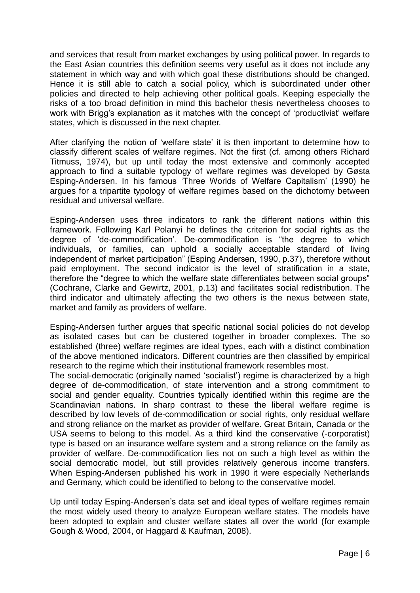and services that result from market exchanges by using political power. In regards to the East Asian countries this definition seems very useful as it does not include any statement in which way and with which goal these distributions should be changed. Hence it is still able to catch a social policy, which is subordinated under other policies and directed to help achieving other political goals. Keeping especially the risks of a too broad definition in mind this bachelor thesis nevertheless chooses to work with Brigg's explanation as it matches with the concept of 'productivist' welfare states, which is discussed in the next chapter.

After clarifying the notion of "welfare state" it is then important to determine how to classify different scales of welfare regimes. Not the first (cf. among others Richard Titmuss, 1974), but up until today the most extensive and commonly accepted approach to find a suitable typology of welfare regimes was developed by Gøsta Esping-Andersen. In his famous "Three Worlds of Welfare Capitalism" (1990) he argues for a tripartite typology of welfare regimes based on the dichotomy between residual and universal welfare.

Esping-Andersen uses three indicators to rank the different nations within this framework. Following Karl Polanyi he defines the criterion for social rights as the degree of "de-commodification". De-commodification is "the degree to which individuals, or families, can uphold a socially acceptable standard of living independent of market participation" (Esping Andersen, 1990, p.37), therefore without paid employment. The second indicator is the level of stratification in a state, therefore the "degree to which the welfare state differentiates between social groups" (Cochrane, Clarke and Gewirtz, 2001, p.13) and facilitates social redistribution. The third indicator and ultimately affecting the two others is the nexus between state, market and family as providers of welfare.

Esping-Andersen further argues that specific national social policies do not develop as isolated cases but can be clustered together in broader complexes. The so established (three) welfare regimes are ideal types, each with a distinct combination of the above mentioned indicators. Different countries are then classified by empirical research to the regime which their institutional framework resembles most.

The social-democratic (originally named "socialist") regime is characterized by a high degree of de-commodification, of state intervention and a strong commitment to social and gender equality. Countries typically identified within this regime are the Scandinavian nations. In sharp contrast to these the liberal welfare regime is described by low levels of de-commodification or social rights, only residual welfare and strong reliance on the market as provider of welfare. Great Britain, Canada or the USA seems to belong to this model. As a third kind the conservative (-corporatist) type is based on an insurance welfare system and a strong reliance on the family as provider of welfare. De-commodification lies not on such a high level as within the social democratic model, but still provides relatively generous income transfers. When Esping-Andersen published his work in 1990 it were especially Netherlands and Germany, which could be identified to belong to the conservative model.

Up until today Esping-Andersen"s data set and ideal types of welfare regimes remain the most widely used theory to analyze European welfare states. The models have been adopted to explain and cluster welfare states all over the world (for example Gough & Wood, 2004, or Haggard & Kaufman, 2008).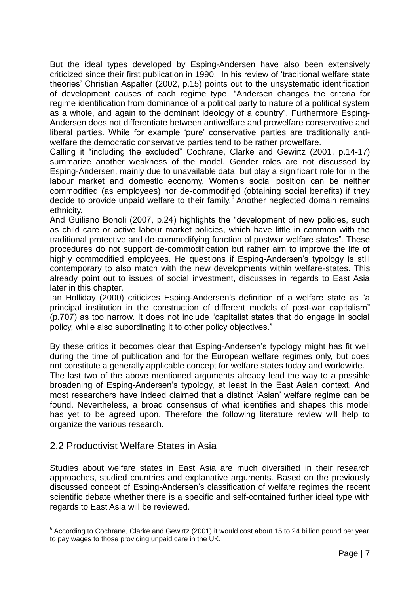But the ideal types developed by Esping-Andersen have also been extensively criticized since their first publication in 1990. In his review of "traditional welfare state theories" Christian Aspalter (2002, p.15) points out to the unsystematic identification of development causes of each regime type. "Andersen changes the criteria for regime identification from dominance of a political party to nature of a political system as a whole, and again to the dominant ideology of a country". Furthermore Esping-Andersen does not differentiate between antiwelfare and prowelfare conservative and liberal parties. While for example "pure" conservative parties are traditionally antiwelfare the democratic conservative parties tend to be rather prowelfare.

Calling it "including the excluded" Cochrane, Clarke and Gewirtz (2001, p.14-17) summarize another weakness of the model. Gender roles are not discussed by Esping-Andersen, mainly due to unavailable data, but play a significant role for in the labour market and domestic economy. Women's social position can be neither commodified (as employees) nor de-commodified (obtaining social benefits) if they decide to provide unpaid welfare to their family.<sup>6</sup> Another neglected domain remains ethnicity.

And Guiliano Bonoli (2007, p.24) highlights the "development of new policies, such as child care or active labour market policies, which have little in common with the traditional protective and de-commodifying function of postwar welfare states". These procedures do not support de-commodification but rather aim to improve the life of highly commodified employees. He questions if Esping-Andersen's typology is still contemporary to also match with the new developments within welfare-states. This already point out to issues of social investment, discusses in regards to East Asia later in this chapter.

Ian Holliday (2000) criticizes Esping-Andersen's definition of a welfare state as "a principal institution in the construction of different models of post-war capitalism" (p.707) as too narrow. It does not include "capitalist states that do engage in social policy, while also subordinating it to other policy objectives."

By these critics it becomes clear that Esping-Andersen's typology might has fit well during the time of publication and for the European welfare regimes only, but does not constitute a generally applicable concept for welfare states today and worldwide.

The last two of the above mentioned arguments already lead the way to a possible broadening of Esping-Andersen"s typology, at least in the East Asian context. And most researchers have indeed claimed that a distinct "Asian" welfare regime can be found. Nevertheless, a broad consensus of what identifies and shapes this model has yet to be agreed upon. Therefore the following literature review will help to organize the various research.

## 2.2 Productivist Welfare States in Asia

Studies about welfare states in East Asia are much diversified in their research approaches, studied countries and explanative arguments. Based on the previously discussed concept of Esping-Andersen's classification of welfare regimes the recent scientific debate whether there is a specific and self-contained further ideal type with regards to East Asia will be reviewed.

<sup>&</sup>lt;u>.</u>  $^6$  According to Cochrane, Clarke and Gewirtz (2001) it would cost about 15 to 24 billion pound per year to pay wages to those providing unpaid care in the UK.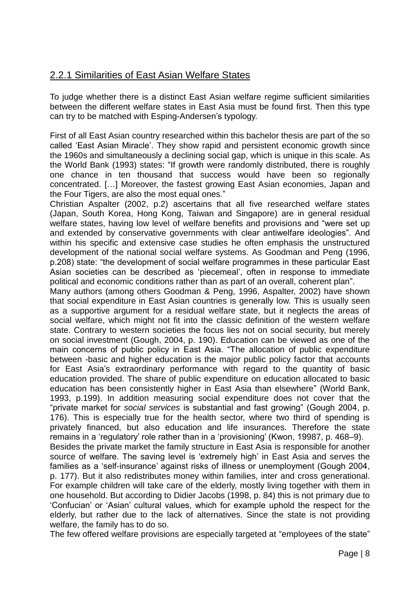## 2.2.1 Similarities of East Asian Welfare States

To judge whether there is a distinct East Asian welfare regime sufficient similarities between the different welfare states in East Asia must be found first. Then this type can try to be matched with Esping-Andersen's typology.

First of all East Asian country researched within this bachelor thesis are part of the so called "East Asian Miracle". They show rapid and persistent economic growth since the 1960s and simultaneously a declining social gap, which is unique in this scale. As the World Bank (1993) states: "If growth were randomly distributed, there is roughly one chance in ten thousand that success would have been so regionally concentrated. […] Moreover, the fastest growing East Asian economies, Japan and the Four Tigers, are also the most equal ones."

Christian Aspalter (2002, p.2) ascertains that all five researched welfare states (Japan, South Korea, Hong Kong, Taiwan and Singapore) are in general residual welfare states, having low level of welfare benefits and provisions and "were set up and extended by conservative governments with clear antiwelfare ideologies". And within his specific and extensive case studies he often emphasis the unstructured development of the national social welfare systems. As Goodman and Peng (1996, p.208) state: "the development of social welfare programmes in these particular East Asian societies can be described as "piecemeal", often in response to immediate political and economic conditions rather than as part of an overall, coherent plan".

Many authors (among others Goodman & Peng, 1996, Aspalter, 2002) have shown that social expenditure in East Asian countries is generally low. This is usually seen as a supportive argument for a residual welfare state, but it neglects the areas of social welfare, which might not fit into the classic definition of the western welfare state. Contrary to western societies the focus lies not on social security, but merely on social investment (Gough, 2004, p. 190). Education can be viewed as one of the main concerns of public policy in East Asia. "The allocation of public expenditure between -basic and higher education is the major public policy factor that accounts for East Asia"s extraordinary performance with regard to the quantity of basic education provided. The share of public expenditure on education allocated to basic education has been consistently higher in East Asia than elsewhere" (World Bank, 1993, p.199). In addition measuring social expenditure does not cover that the "private market for *social services* is substantial and fast growing" (Gough 2004, p. 176). This is especially true for the health sector, where two third of spending is privately financed, but also education and life insurances. Therefore the state remains in a 'regulatory' role rather than in a 'provisioning' (Kwon, 19987, p. 468–9). Besides the private market the family structure in East Asia is responsible for another

source of welfare. The saving level is 'extremely high' in East Asia and serves the families as a 'self-insurance' against risks of illness or unemployment (Gough 2004, p. 177). But it also redistributes money within families, inter and cross generational. For example children will take care of the elderly, mostly living together with them in one household. But according to Didier Jacobs (1998, p. 84) this is not primary due to "Confucian" or "Asian" cultural values, which for example uphold the respect for the elderly, but rather due to the lack of alternatives. Since the state is not providing welfare, the family has to do so.

The few offered welfare provisions are especially targeted at "employees of the state"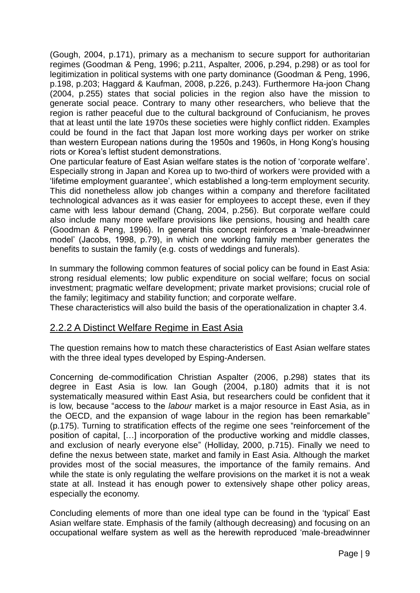(Gough, 2004, p.171), primary as a mechanism to secure support for authoritarian regimes (Goodman & Peng, 1996; p.211, Aspalter, 2006, p.294, p.298) or as tool for legitimization in political systems with one party dominance (Goodman & Peng, 1996, p.198, p.203; Haggard & Kaufman, 2008, p.226, p.243). Furthermore Ha-joon Chang (2004, p.255) states that social policies in the region also have the mission to generate social peace. Contrary to many other researchers, who believe that the region is rather peaceful due to the cultural background of Confucianism, he proves that at least until the late 1970s these societies were highly conflict ridden. Examples could be found in the fact that Japan lost more working days per worker on strike than western European nations during the 1950s and 1960s, in Hong Kong"s housing riots or Korea"s leftist student demonstrations.

One particular feature of East Asian welfare states is the notion of "corporate welfare". Especially strong in Japan and Korea up to two-third of workers were provided with a "lifetime employment guarantee", which established a long-term employment security. This did nonetheless allow job changes within a company and therefore facilitated technological advances as it was easier for employees to accept these, even if they came with less labour demand (Chang, 2004, p.256). But corporate welfare could also include many more welfare provisions like pensions, housing and health care (Goodman & Peng, 1996). In general this concept reinforces a "male-breadwinner model" (Jacobs, 1998, p.79), in which one working family member generates the benefits to sustain the family (e.g. costs of weddings and funerals).

In summary the following common features of social policy can be found in East Asia: strong residual elements; low public expenditure on social welfare; focus on social investment; pragmatic welfare development; private market provisions; crucial role of the family; legitimacy and stability function; and corporate welfare.

These characteristics will also build the basis of the operationalization in chapter 3.4.

## 2.2.2 A Distinct Welfare Regime in East Asia

The question remains how to match these characteristics of East Asian welfare states with the three ideal types developed by Esping-Andersen.

Concerning de-commodification Christian Aspalter (2006, p.298) states that its degree in East Asia is low. Ian Gough (2004, p.180) admits that it is not systematically measured within East Asia, but researchers could be confident that it is low, because "access to the *labour* market is a major resource in East Asia, as in the OECD, and the expansion of wage labour in the region has been remarkable" (p.175). Turning to stratification effects of the regime one sees "reinforcement of the position of capital, […] incorporation of the productive working and middle classes, and exclusion of nearly everyone else" (Holliday, 2000, p.715). Finally we need to define the nexus between state, market and family in East Asia. Although the market provides most of the social measures, the importance of the family remains. And while the state is only regulating the welfare provisions on the market it is not a weak state at all. Instead it has enough power to extensively shape other policy areas, especially the economy.

Concluding elements of more than one ideal type can be found in the "typical" East Asian welfare state. Emphasis of the family (although decreasing) and focusing on an occupational welfare system as well as the herewith reproduced "male-breadwinner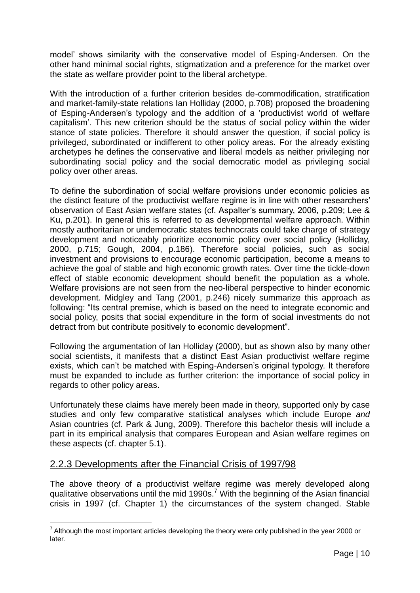model" shows similarity with the conservative model of Esping-Andersen. On the other hand minimal social rights, stigmatization and a preference for the market over the state as welfare provider point to the liberal archetype.

With the introduction of a further criterion besides de-commodification, stratification and market-family-state relations Ian Holliday (2000, p.708) proposed the broadening of Esping-Andersen"s typology and the addition of a "productivist world of welfare capitalism". This new criterion should be the status of social policy within the wider stance of state policies. Therefore it should answer the question, if social policy is privileged, subordinated or indifferent to other policy areas. For the already existing archetypes he defines the conservative and liberal models as neither privileging nor subordinating social policy and the social democratic model as privileging social policy over other areas.

To define the subordination of social welfare provisions under economic policies as the distinct feature of the productivist welfare regime is in line with other researchers" observation of East Asian welfare states (cf. Aspalter"s summary, 2006, p.209; Lee & Ku, p.201). In general this is referred to as developmental welfare approach. Within mostly authoritarian or undemocratic states technocrats could take charge of strategy development and noticeably prioritize economic policy over social policy (Holliday, 2000, p.715; Gough, 2004, p.186). Therefore social policies, such as social investment and provisions to encourage economic participation, become a means to achieve the goal of stable and high economic growth rates. Over time the tickle-down effect of stable economic development should benefit the population as a whole. Welfare provisions are not seen from the neo-liberal perspective to hinder economic development. Midgley and Tang (2001, p.246) nicely summarize this approach as following: "Its central premise, which is based on the need to integrate economic and social policy, posits that social expenditure in the form of social investments do not detract from but contribute positively to economic development".

Following the argumentation of Ian Holliday (2000), but as shown also by many other social scientists, it manifests that a distinct East Asian productivist welfare regime exists, which can't be matched with Esping-Andersen's original typology. It therefore must be expanded to include as further criterion: the importance of social policy in regards to other policy areas.

Unfortunately these claims have merely been made in theory, supported only by case studies and only few comparative statistical analyses which include Europe *and* Asian countries (cf. Park & Jung, 2009). Therefore this bachelor thesis will include a part in its empirical analysis that compares European and Asian welfare regimes on these aspects (cf. chapter 5.1).

## 2.2.3 Developments after the Financial Crisis of 1997/98

<u>.</u>

The above theory of a productivist welfare regime was merely developed along qualitative observations until the mid 1990s.<sup>7</sup> With the beginning of the Asian financial crisis in 1997 (cf. Chapter 1) the circumstances of the system changed. Stable

 $<sup>7</sup>$  Although the most important articles developing the theory were only published in the year 2000 or</sup> later.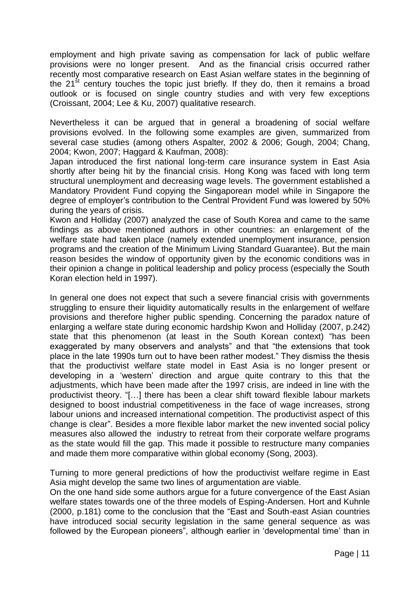employment and high private saving as compensation for lack of public welfare provisions were no longer present. And as the financial crisis occurred rather recently most comparative research on East Asian welfare states in the beginning of the  $21^{st}$  century touches the topic just briefly. If they do, then it remains a broad outlook or is focused on single country studies and with very few exceptions (Croissant, 2004; Lee & Ku, 2007) qualitative research.

Nevertheless it can be argued that in general a broadening of social welfare provisions evolved. In the following some examples are given, summarized from several case studies (among others Aspalter, 2002 & 2006; Gough, 2004; Chang, 2004; Kwon, 2007; Haggard & Kaufman, 2008):

Japan introduced the first national long-term care insurance system in East Asia shortly after being hit by the financial crisis. Hong Kong was faced with long term structural unemployment and decreasing wage levels. The government established a Mandatory Provident Fund copying the Singaporean model while in Singapore the degree of employer"s contribution to the Central Provident Fund was lowered by 50% during the years of crisis.

Kwon and Holliday (2007) analyzed the case of South Korea and came to the same findings as above mentioned authors in other countries: an enlargement of the welfare state had taken place (namely extended unemployment insurance, pension programs and the creation of the Minimum Living Standard Guarantee). But the main reason besides the window of opportunity given by the economic conditions was in their opinion a change in political leadership and policy process (especially the South Koran election held in 1997).

In general one does not expect that such a severe financial crisis with governments struggling to ensure their liquidity automatically results in the enlargement of welfare provisions and therefore higher public spending. Concerning the paradox nature of enlarging a welfare state during economic hardship Kwon and Holliday (2007, p.242) state that this phenomenon (at least in the South Korean context) "has been exaggerated by many observers and analysts" and that "the extensions that took place in the late 1990s turn out to have been rather modest." They dismiss the thesis that the productivist welfare state model in East Asia is no longer present or developing in a "western" direction and argue quite contrary to this that the adjustments, which have been made after the 1997 crisis, are indeed in line with the productivist theory. "[…] there has been a clear shift toward flexible labour markets designed to boost industrial competitiveness in the face of wage increases, strong labour unions and increased international competition. The productivist aspect of this change is clear". Besides a more flexible labor market the new invented social policy measures also allowed the industry to retreat from their corporate welfare programs as the state would fill the gap. This made it possible to restructure many companies and made them more comparative within global economy (Song, 2003).

Turning to more general predictions of how the productivist welfare regime in East Asia might develop the same two lines of argumentation are viable.

On the one hand side some authors argue for a future convergence of the East Asian welfare states towards one of the three models of Esping-Andersen. Hort and Kuhnle (2000, p.181) come to the conclusion that the "East and South-east Asian countries have introduced social security legislation in the same general sequence as was followed by the European pioneers", although earlier in "developmental time" than in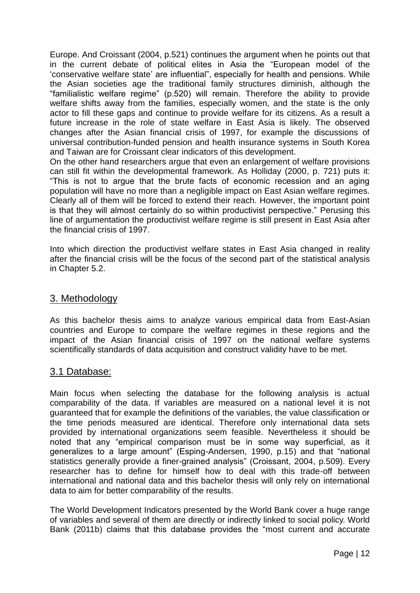Europe. And Croissant (2004, p.521) continues the argument when he points out that in the current debate of political elites in Asia the "European model of the "conservative welfare state" are influential", especially for health and pensions. While the Asian societies age the traditional family structures diminish, although the "familialistic welfare regime" (p.520) will remain. Therefore the ability to provide welfare shifts away from the families, especially women, and the state is the only actor to fill these gaps and continue to provide welfare for its citizens. As a result a future increase in the role of state welfare in East Asia is likely. The observed changes after the Asian financial crisis of 1997, for example the discussions of universal contribution-funded pension and health insurance systems in South Korea and Taiwan are for Croissant clear indicators of this development.

On the other hand researchers argue that even an enlargement of welfare provisions can still fit within the developmental framework. As Holliday (2000, p. 721) puts it: "This is not to argue that the brute facts of economic recession and an aging population will have no more than a negligible impact on East Asian welfare regimes. Clearly all of them will be forced to extend their reach. However, the important point is that they will almost certainly do so within productivist perspective." Perusing this line of argumentation the productivist welfare regime is still present in East Asia after the financial crisis of 1997.

Into which direction the productivist welfare states in East Asia changed in reality after the financial crisis will be the focus of the second part of the statistical analysis in Chapter 5.2.

### 3. Methodology

As this bachelor thesis aims to analyze various empirical data from East-Asian countries and Europe to compare the welfare regimes in these regions and the impact of the Asian financial crisis of 1997 on the national welfare systems scientifically standards of data acquisition and construct validity have to be met.

#### 3.1 Database:

Main focus when selecting the database for the following analysis is actual comparability of the data. If variables are measured on a national level it is not guaranteed that for example the definitions of the variables, the value classification or the time periods measured are identical. Therefore only international data sets provided by international organizations seem feasible. Nevertheless it should be noted that any "empirical comparison must be in some way superficial, as it generalizes to a large amount" (Esping-Andersen, 1990, p.15) and that "national statistics generally provide a finer-grained analysis" (Croissant, 2004, p.509). Every researcher has to define for himself how to deal with this trade-off between international and national data and this bachelor thesis will only rely on international data to aim for better comparability of the results.

The World Development Indicators presented by the World Bank cover a huge range of variables and several of them are directly or indirectly linked to social policy. World Bank (2011b) claims that this database provides the "most current and accurate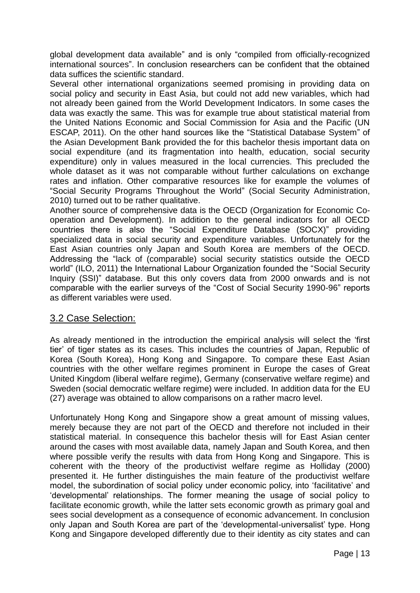global development data available" and is only "compiled from officially-recognized international sources". In conclusion researchers can be confident that the obtained data suffices the scientific standard.

Several other international organizations seemed promising in providing data on social policy and security in East Asia, but could not add new variables, which had not already been gained from the World Development Indicators. In some cases the data was exactly the same. This was for example true about statistical material from the United Nations Economic and Social Commission for Asia and the Pacific (UN ESCAP, 2011). On the other hand sources like the "Statistical Database System" of the Asian Development Bank provided the for this bachelor thesis important data on social expenditure (and its fragmentation into health, education, social security expenditure) only in values measured in the local currencies. This precluded the whole dataset as it was not comparable without further calculations on exchange rates and inflation. Other comparative resources like for example the volumes of "Social Security Programs Throughout the World" (Social Security Administration, 2010) turned out to be rather qualitative.

Another source of comprehensive data is the OECD (Organization for Economic Cooperation and Development). In addition to the general indicators for all OECD countries there is also the "Social Expenditure Database (SOCX)" providing specialized data in social security and expenditure variables. Unfortunately for the East Asian countries only Japan and South Korea are members of the OECD. Addressing the "lack of (comparable) social security statistics outside the OECD world" (ILO, 2011) the International Labour Organization founded the "Social Security Inquiry (SSI)" database. But this only covers data from 2000 onwards and is not comparable with the earlier surveys of the "Cost of Social Security 1990-96" reports as different variables were used.

## 3.2 Case Selection:

As already mentioned in the introduction the empirical analysis will select the "first tier" of tiger states as its cases. This includes the countries of Japan, Republic of Korea (South Korea), Hong Kong and Singapore. To compare these East Asian countries with the other welfare regimes prominent in Europe the cases of Great United Kingdom (liberal welfare regime), Germany (conservative welfare regime) and Sweden (social democratic welfare regime) were included. In addition data for the EU (27) average was obtained to allow comparisons on a rather macro level.

Unfortunately Hong Kong and Singapore show a great amount of missing values, merely because they are not part of the OECD and therefore not included in their statistical material. In consequence this bachelor thesis will for East Asian center around the cases with most available data, namely Japan and South Korea, and then where possible verify the results with data from Hong Kong and Singapore. This is coherent with the theory of the productivist welfare regime as Holliday (2000) presented it. He further distinguishes the main feature of the productivist welfare model, the subordination of social policy under economic policy, into "facilitative" and "developmental" relationships. The former meaning the usage of social policy to facilitate economic growth, while the latter sets economic growth as primary goal and sees social development as a consequence of economic advancement. In conclusion only Japan and South Korea are part of the "developmental-universalist" type. Hong Kong and Singapore developed differently due to their identity as city states and can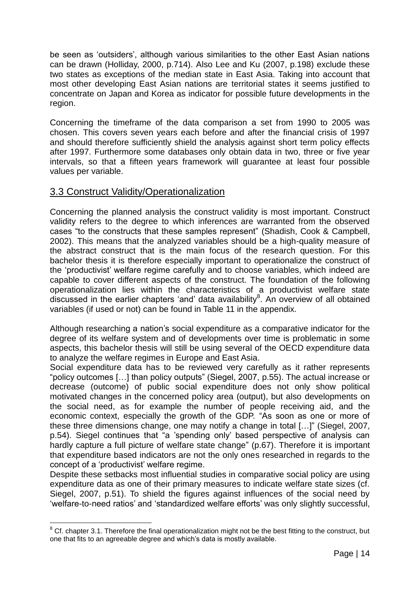be seen as "outsiders", although various similarities to the other East Asian nations can be drawn (Holliday, 2000, p.714). Also Lee and Ku (2007, p.198) exclude these two states as exceptions of the median state in East Asia. Taking into account that most other developing East Asian nations are territorial states it seems justified to concentrate on Japan and Korea as indicator for possible future developments in the region.

Concerning the timeframe of the data comparison a set from 1990 to 2005 was chosen. This covers seven years each before and after the financial crisis of 1997 and should therefore sufficiently shield the analysis against short term policy effects after 1997. Furthermore some databases only obtain data in two, three or five year intervals, so that a fifteen years framework will guarantee at least four possible values per variable.

## 3.3 Construct Validity/Operationalization

<u>.</u>

Concerning the planned analysis the construct validity is most important. Construct validity refers to the degree to which inferences are warranted from the observed cases "to the constructs that these samples represent" (Shadish, Cook & Campbell, 2002). This means that the analyzed variables should be a high-quality measure of the abstract construct that is the main focus of the research question. For this bachelor thesis it is therefore especially important to operationalize the construct of the "productivist" welfare regime carefully and to choose variables, which indeed are capable to cover different aspects of the construct. The foundation of the following operationalization lies within the characteristics of a productivist welfare state discussed in the earlier chapters 'and' data availability $8$ . An overview of all obtained variables (if used or not) can be found in Table 11 in the appendix.

Although researching a nation"s social expenditure as a comparative indicator for the degree of its welfare system and of developments over time is problematic in some aspects, this bachelor thesis will still be using several of the OECD expenditure data to analyze the welfare regimes in Europe and East Asia.

Social expenditure data has to be reviewed very carefully as it rather represents "policy outcomes […] than policy outputs" (Siegel, 2007, p.55). The actual increase or decrease (outcome) of public social expenditure does not only show political motivated changes in the concerned policy area (output), but also developments on the social need, as for example the number of people receiving aid, and the economic context, especially the growth of the GDP. "As soon as one or more of these three dimensions change, one may notify a change in total […]" (Siegel, 2007, p.54). Siegel continues that "a "spending only" based perspective of analysis can hardly capture a full picture of welfare state change" (p.67). Therefore it is important that expenditure based indicators are not the only ones researched in regards to the concept of a "productivist" welfare regime.

Despite these setbacks most influential studies in comparative social policy are using expenditure data as one of their primary measures to indicate welfare state sizes (cf. Siegel, 2007, p.51). To shield the figures against influences of the social need by 'welfare-to-need ratios' and 'standardized welfare efforts' was only slightly successful,

<sup>&</sup>lt;sup>8</sup> Cf. chapter 3.1. Therefore the final operationalization might not be the best fitting to the construct, but one that fits to an agreeable degree and which"s data is mostly available.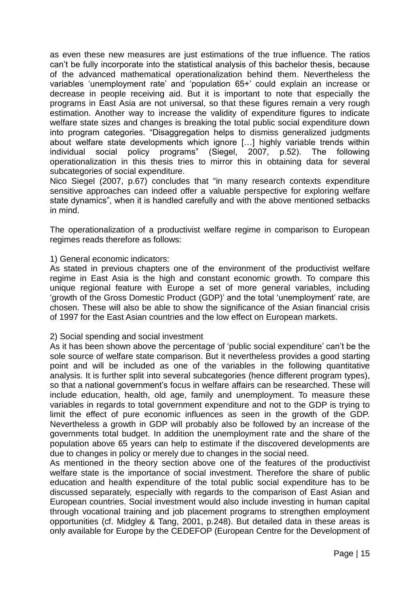as even these new measures are just estimations of the true influence. The ratios can"t be fully incorporate into the statistical analysis of this bachelor thesis, because of the advanced mathematical operationalization behind them. Nevertheless the variables "unemployment rate" and "population 65+" could explain an increase or decrease in people receiving aid. But it is important to note that especially the programs in East Asia are not universal, so that these figures remain a very rough estimation. Another way to increase the validity of expenditure figures to indicate welfare state sizes and changes is breaking the total public social expenditure down into program categories. "Disaggregation helps to dismiss generalized judgments about welfare state developments which ignore […] highly variable trends within individual social policy programs" (Siegel, 2007, p.52). The following operationalization in this thesis tries to mirror this in obtaining data for several subcategories of social expenditure.

Nico Siegel (2007, p.67) concludes that "in many research contexts expenditure sensitive approaches can indeed offer a valuable perspective for exploring welfare state dynamics", when it is handled carefully and with the above mentioned setbacks in mind.

The operationalization of a productivist welfare regime in comparison to European regimes reads therefore as follows:

#### 1) General economic indicators:

As stated in previous chapters one of the environment of the productivist welfare regime in East Asia is the high and constant economic growth. To compare this unique regional feature with Europe a set of more general variables, including "growth of the Gross Domestic Product (GDP)" and the total "unemployment" rate, are chosen. These will also be able to show the significance of the Asian financial crisis of 1997 for the East Asian countries and the low effect on European markets.

#### 2) Social spending and social investment

As it has been shown above the percentage of 'public social expenditure' can't be the sole source of welfare state comparison. But it nevertheless provides a good starting point and will be included as one of the variables in the following quantitative analysis. It is further split into several subcategories (hence different program types), so that a national government"s focus in welfare affairs can be researched. These will include education, health, old age, family and unemployment. To measure these variables in regards to total government expenditure and not to the GDP is trying to limit the effect of pure economic influences as seen in the growth of the GDP. Nevertheless a growth in GDP will probably also be followed by an increase of the governments total budget. In addition the unemployment rate and the share of the population above 65 years can help to estimate if the discovered developments are due to changes in policy or merely due to changes in the social need.

As mentioned in the theory section above one of the features of the productivist welfare state is the importance of social investment. Therefore the share of public education and health expenditure of the total public social expenditure has to be discussed separately, especially with regards to the comparison of East Asian and European countries. Social investment would also include investing in human capital through vocational training and job placement programs to strengthen employment opportunities (cf. Midgley & Tang, 2001, p.248). But detailed data in these areas is only available for Europe by the CEDEFOP (European Centre for the Development of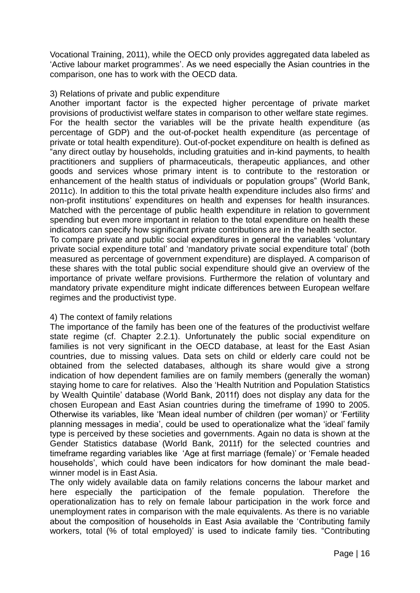Vocational Training, 2011), while the OECD only provides aggregated data labeled as "Active labour market programmes". As we need especially the Asian countries in the comparison, one has to work with the OECD data.

#### 3) Relations of private and public expenditure

Another important factor is the expected higher percentage of private market provisions of productivist welfare states in comparison to other welfare state regimes. For the health sector the variables will be the private health expenditure (as percentage of GDP) and the out-of-pocket health expenditure (as percentage of private or total health expenditure). Out-of-pocket expenditure on health is defined as "any direct outlay by households, including gratuities and in-kind payments, to health practitioners and suppliers of pharmaceuticals, therapeutic appliances, and other goods and services whose primary intent is to contribute to the restoration or enhancement of the health status of individuals or population groups" (World Bank, 2011c). In addition to this the total private health expenditure includes also firms' and non-profit institutions" expenditures on health and expenses for health insurances. Matched with the percentage of public health expenditure in relation to government spending but even more important in relation to the total expenditure on health these indicators can specify how significant private contributions are in the health sector.

To compare private and public social expenditures in general the variables "voluntary private social expenditure total" and "mandatory private social expenditure total" (both measured as percentage of government expenditure) are displayed. A comparison of these shares with the total public social expenditure should give an overview of the importance of private welfare provisions. Furthermore the relation of voluntary and mandatory private expenditure might indicate differences between European welfare regimes and the productivist type.

#### 4) The context of family relations

The importance of the family has been one of the features of the productivist welfare state regime (cf. Chapter 2.2.1). Unfortunately the public social expenditure on families is not very significant in the OECD database, at least for the East Asian countries, due to missing values. Data sets on child or elderly care could not be obtained from the selected databases, although its share would give a strong indication of how dependent families are on family members (generally the woman) staying home to care for relatives. Also the "Health Nutrition and Population Statistics by Wealth Quintile" database (World Bank, 2011f) does not display any data for the chosen European and East Asian countries during the timeframe of 1990 to 2005. Otherwise its variables, like "Mean ideal number of children (per woman)" or "Fertility planning messages in media", could be used to operationalize what the "ideal" family type is perceived by these societies and governments. Again no data is shown at the Gender Statistics database (World Bank, 2011f) for the selected countries and timeframe regarding variables like "Age at first marriage (female)" or "Female headed households", which could have been indicators for how dominant the male beadwinner model is in East Asia.

The only widely available data on family relations concerns the labour market and here especially the participation of the female population. Therefore the operationalization has to rely on female labour participation in the work force and unemployment rates in comparison with the male equivalents. As there is no variable about the composition of households in East Asia available the "Contributing family workers, total (% of total employed)' is used to indicate family ties. "Contributing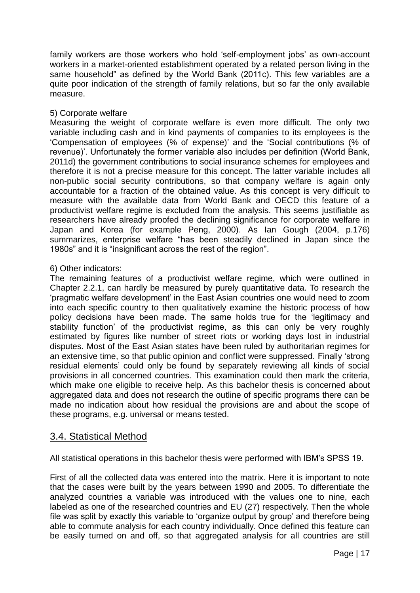family workers are those workers who hold "self-employment jobs" as own-account workers in a market-oriented establishment operated by a related person living in the same household" as defined by the World Bank (2011c). This few variables are a quite poor indication of the strength of family relations, but so far the only available measure.

#### 5) Corporate welfare

Measuring the weight of corporate welfare is even more difficult. The only two variable including cash and in kind payments of companies to its employees is the "Compensation of employees (% of expense)" and the "Social contributions (% of revenue)". Unfortunately the former variable also includes per definition (World Bank, 2011d) the government contributions to social insurance schemes for employees and therefore it is not a precise measure for this concept. The latter variable includes all non-public social security contributions, so that company welfare is again only accountable for a fraction of the obtained value. As this concept is very difficult to measure with the available data from World Bank and OECD this feature of a productivist welfare regime is excluded from the analysis. This seems justifiable as researchers have already proofed the declining significance for corporate welfare in Japan and Korea (for example Peng, 2000). As Ian Gough (2004, p.176) summarizes, enterprise welfare "has been steadily declined in Japan since the 1980s" and it is "insignificant across the rest of the region".

#### 6) Other indicators:

The remaining features of a productivist welfare regime, which were outlined in Chapter 2.2.1, can hardly be measured by purely quantitative data. To research the "pragmatic welfare development" in the East Asian countries one would need to zoom into each specific country to then qualitatively examine the historic process of how policy decisions have been made. The same holds true for the "legitimacy and stability function' of the productivist regime, as this can only be very roughly estimated by figures like number of street riots or working days lost in industrial disputes. Most of the East Asian states have been ruled by authoritarian regimes for an extensive time, so that public opinion and conflict were suppressed. Finally "strong residual elements" could only be found by separately reviewing all kinds of social provisions in all concerned countries. This examination could then mark the criteria, which make one eligible to receive help. As this bachelor thesis is concerned about aggregated data and does not research the outline of specific programs there can be made no indication about how residual the provisions are and about the scope of these programs, e.g. universal or means tested.

#### 3.4. Statistical Method

All statistical operations in this bachelor thesis were performed with IBM"s SPSS 19.

First of all the collected data was entered into the matrix. Here it is important to note that the cases were built by the years between 1990 and 2005. To differentiate the analyzed countries a variable was introduced with the values one to nine, each labeled as one of the researched countries and EU (27) respectively. Then the whole file was split by exactly this variable to "organize output by group" and therefore being able to commute analysis for each country individually. Once defined this feature can be easily turned on and off, so that aggregated analysis for all countries are still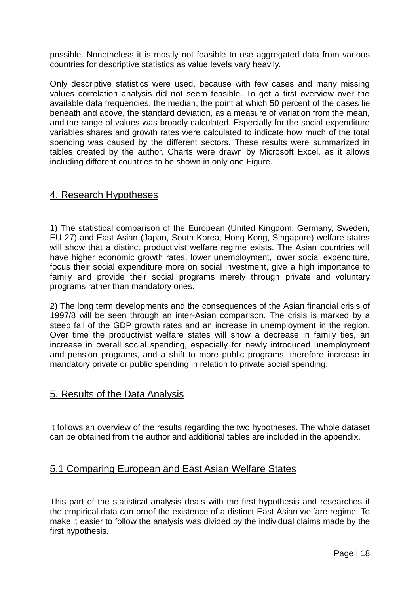possible. Nonetheless it is mostly not feasible to use aggregated data from various countries for descriptive statistics as value levels vary heavily.

Only descriptive statistics were used, because with few cases and many missing values correlation analysis did not seem feasible. To get a first overview over the available data frequencies, the median, the point at which 50 percent of the cases lie beneath and above, the standard deviation, as a measure of variation from the mean, and the range of values was broadly calculated. Especially for the social expenditure variables shares and growth rates were calculated to indicate how much of the total spending was caused by the different sectors. These results were summarized in tables created by the author. Charts were drawn by Microsoft Excel, as it allows including different countries to be shown in only one Figure.

## 4. Research Hypotheses

1) The statistical comparison of the European (United Kingdom, Germany, Sweden, EU 27) and East Asian (Japan, South Korea, Hong Kong, Singapore) welfare states will show that a distinct productivist welfare regime exists. The Asian countries will have higher economic growth rates, lower unemployment, lower social expenditure, focus their social expenditure more on social investment, give a high importance to family and provide their social programs merely through private and voluntary programs rather than mandatory ones.

2) The long term developments and the consequences of the Asian financial crisis of 1997/8 will be seen through an inter-Asian comparison. The crisis is marked by a steep fall of the GDP growth rates and an increase in unemployment in the region. Over time the productivist welfare states will show a decrease in family ties, an increase in overall social spending, especially for newly introduced unemployment and pension programs, and a shift to more public programs, therefore increase in mandatory private or public spending in relation to private social spending.

## 5. Results of the Data Analysis

It follows an overview of the results regarding the two hypotheses. The whole dataset can be obtained from the author and additional tables are included in the appendix.

## 5.1 Comparing European and East Asian Welfare States

This part of the statistical analysis deals with the first hypothesis and researches if the empirical data can proof the existence of a distinct East Asian welfare regime. To make it easier to follow the analysis was divided by the individual claims made by the first hypothesis.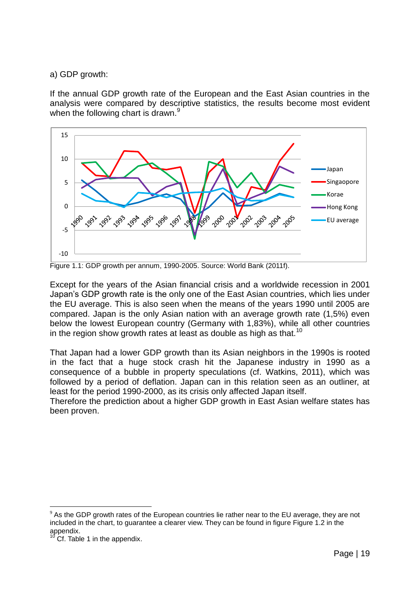a) GDP growth:

If the annual GDP growth rate of the European and the East Asian countries in the analysis were compared by descriptive statistics, the results become most evident when the following chart is drawn.<sup>9</sup>



Figure 1.1: GDP growth per annum, 1990-2005. Source: World Bank (2011f).

Except for the years of the Asian financial crisis and a worldwide recession in 2001 Japan"s GDP growth rate is the only one of the East Asian countries, which lies under the EU average. This is also seen when the means of the years 1990 until 2005 are compared. Japan is the only Asian nation with an average growth rate (1,5%) even below the lowest European country (Germany with 1,83%), while all other countries in the region show growth rates at least as double as high as that.<sup>10</sup>

That Japan had a lower GDP growth than its Asian neighbors in the 1990s is rooted in the fact that a huge stock crash hit the Japanese industry in 1990 as a consequence of a bubble in property speculations (cf. Watkins, 2011), which was followed by a period of deflation. Japan can in this relation seen as an outliner, at least for the period 1990-2000, as its crisis only affected Japan itself.

Therefore the prediction about a higher GDP growth in East Asian welfare states has been proven.

1

 $9$  As the GDP growth rates of the European countries lie rather near to the EU average, they are not included in the chart, to guarantee a clearer view. They can be found in figure Figure 1.2 in the appendix.

Cf. Table 1 in the appendix.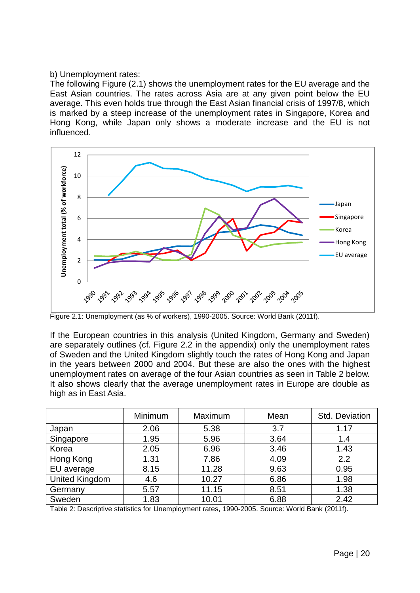#### b) Unemployment rates:

The following Figure (2.1) shows the unemployment rates for the EU average and the East Asian countries. The rates across Asia are at any given point below the EU average. This even holds true through the East Asian financial crisis of 1997/8, which is marked by a steep increase of the unemployment rates in Singapore, Korea and Hong Kong, while Japan only shows a moderate increase and the EU is not influenced.



Figure 2.1: Unemployment (as % of workers), 1990-2005. Source: World Bank (2011f).

If the European countries in this analysis (United Kingdom, Germany and Sweden) are separately outlines (cf. Figure 2.2 in the appendix) only the unemployment rates of Sweden and the United Kingdom slightly touch the rates of Hong Kong and Japan in the years between 2000 and 2004. But these are also the ones with the highest unemployment rates on average of the four Asian countries as seen in Table 2 below. It also shows clearly that the average unemployment rates in Europe are double as high as in East Asia.

|                       | Minimum | Maximum | Mean | Std. Deviation |
|-----------------------|---------|---------|------|----------------|
| Japan                 | 2.06    | 5.38    | 3.7  | 1.17           |
| Singapore             | 1.95    | 5.96    | 3.64 | 1.4            |
| Korea                 | 2.05    | 6.96    | 3.46 | 1.43           |
| Hong Kong             | 1.31    | 7.86    | 4.09 | 2.2            |
| EU average            | 8.15    | 11.28   | 9.63 | 0.95           |
| <b>United Kingdom</b> | 4.6     | 10.27   | 6.86 | 1.98           |
| Germany               | 5.57    | 11.15   | 8.51 | 1.38           |
| Sweden                | 1.83    | 10.01   | 6.88 | 2.42           |

Table 2: Descriptive statistics for Unemployment rates, 1990-2005. Source: World Bank (2011f).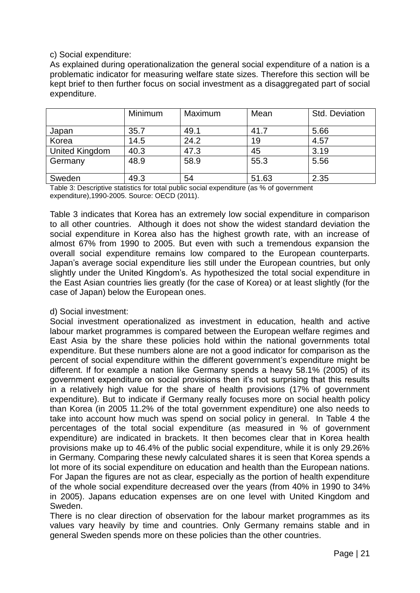#### c) Social expenditure:

As explained during operationalization the general social expenditure of a nation is a problematic indicator for measuring welfare state sizes. Therefore this section will be kept brief to then further focus on social investment as a disaggregated part of social expenditure.

|                       | Minimum | Maximum | Mean  | Std. Deviation |
|-----------------------|---------|---------|-------|----------------|
| Japan                 | 35.7    | 49.1    | 41.7  | 5.66           |
| Korea                 | 14.5    | 24.2    | 19    | 4.57           |
| <b>United Kingdom</b> | 40.3    | 47.3    | 45    | 3.19           |
| Germany               | 48.9    | 58.9    | 55.3  | 5.56           |
| Sweden                | 49.3    | 54      | 51.63 | 2.35           |

Table 3: Descriptive statistics for total public social expenditure (as % of government expenditure),1990-2005. Source: OECD (2011).

Table 3 indicates that Korea has an extremely low social expenditure in comparison to all other countries. Although it does not show the widest standard deviation the social expenditure in Korea also has the highest growth rate, with an increase of almost 67% from 1990 to 2005. But even with such a tremendous expansion the overall social expenditure remains low compared to the European counterparts. Japan"s average social expenditure lies still under the European countries, but only slightly under the United Kingdom's. As hypothesized the total social expenditure in the East Asian countries lies greatly (for the case of Korea) or at least slightly (for the case of Japan) below the European ones.

#### d) Social investment:

Social investment operationalized as investment in education, health and active labour market programmes is compared between the European welfare regimes and East Asia by the share these policies hold within the national governments total expenditure. But these numbers alone are not a good indicator for comparison as the percent of social expenditure within the different government's expenditure might be different. If for example a nation like Germany spends a heavy 58.1% (2005) of its government expenditure on social provisions then it's not surprising that this results in a relatively high value for the share of health provisions (17% of government expenditure). But to indicate if Germany really focuses more on social health policy than Korea (in 2005 11.2% of the total government expenditure) one also needs to take into account how much was spend on social policy in general. In Table 4 the percentages of the total social expenditure (as measured in % of government expenditure) are indicated in brackets. It then becomes clear that in Korea health provisions make up to 46.4% of the public social expenditure, while it is only 29.26% in Germany. Comparing these newly calculated shares it is seen that Korea spends a lot more of its social expenditure on education and health than the European nations. For Japan the figures are not as clear, especially as the portion of health expenditure of the whole social expenditure decreased over the years (from 40% in 1990 to 34% in 2005). Japans education expenses are on one level with United Kingdom and Sweden.

There is no clear direction of observation for the labour market programmes as its values vary heavily by time and countries. Only Germany remains stable and in general Sweden spends more on these policies than the other countries.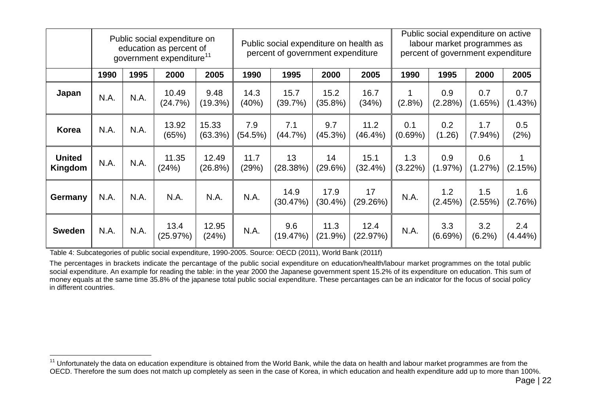|                          |      |      | Public social expenditure on<br>education as percent of<br>government expenditure <sup>11</sup> |                    | Public social expenditure on health as<br>percent of government expenditure |                  |                    |                    | Public social expenditure on active<br>labour market programmes as<br>percent of government expenditure |                |                   |                   |
|--------------------------|------|------|-------------------------------------------------------------------------------------------------|--------------------|-----------------------------------------------------------------------------|------------------|--------------------|--------------------|---------------------------------------------------------------------------------------------------------|----------------|-------------------|-------------------|
|                          | 1990 | 1995 | 2000                                                                                            | 2005               | 1990                                                                        | 1995             | 2000               | 2005               | 1990                                                                                                    | 1995           | 2000              | 2005              |
| Japan                    | N.A. | N.A. | 10.49<br>(24.7%)                                                                                | 9.48<br>$(19.3\%)$ | 14.3<br>(40%)                                                               | 15.7<br>(39.7%)  | 15.2<br>$(35.8\%)$ | 16.7<br>(34%)      | $(2.8\%)$                                                                                               | 0.9<br>(2.28%) | 0.7<br>(1.65%)    | 0.7<br>(1.43%)    |
| <b>Korea</b>             | N.A. | N.A. | 13.92<br>(65%)                                                                                  | 15.33<br>(63.3%)   | 7.9<br>(54.5%)                                                              | 7.1<br>(44.7%)   | 9.7<br>(45.3%)     | 11.2<br>$(46.4\%)$ | 0.1<br>(0.69%)                                                                                          | 0.2<br>(1.26)  | 1.7<br>$(7.94\%)$ | 0.5<br>(2%)       |
| <b>United</b><br>Kingdom | N.A. | N.A. | 11.35<br>(24%)                                                                                  | 12.49<br>(26.8%)   | 11.7<br>(29%)                                                               | 13<br>(28.38%)   | 14<br>(29.6%)      | 15.1<br>$(32.4\%)$ | 1.3<br>$(3.22\%)$                                                                                       | 0.9<br>(1.97%) | 0.6<br>(1.27%)    | (2.15%)           |
| Germany                  | N.A. | N.A. | N.A.                                                                                            | N.A.               | N.A.                                                                        | 14.9<br>(30.47%) | 17.9<br>$(30.4\%)$ | 17<br>(29.26%)     | N.A.                                                                                                    | 1.2<br>(2.45%) | 1.5<br>$(2.55\%)$ | 1.6<br>(2.76%)    |
| <b>Sweden</b>            | N.A. | N.A. | 13.4<br>(25.97%)                                                                                | 12.95<br>(24%)     | N.A.                                                                        | 9.6<br>(19.47%)  | 11.3<br>(21.9%)    | 12.4<br>(22.97%)   | N.A.                                                                                                    | 3.3<br>(6.69%) | 3.2<br>(6.2%)     | 2.4<br>$(4.44\%)$ |

Table 4: Subcategories of public social expenditure, 1990-2005. Source: OECD (2011), World Bank (2011f)

 $\overline{a}$ 

The percentages in brackets indicate the percantage of the public social expenditure on education/health/labour market programmes on the total public social expenditure. An example for reading the table: in the year 2000 the Japanese government spent 15.2% of its expenditure on education. This sum of money equals at the same time 35.8% of the japanese total public social expenditure. These percantages can be an indicator for the focus of social policy in different countries.

<sup>&</sup>lt;sup>11</sup> Unfortunately the data on education expenditure is obtained from the World Bank, while the data on health and labour market programmes are from the OECD. Therefore the sum does not match up completely as seen in the case of Korea, in which education and health expenditure add up to more than 100%.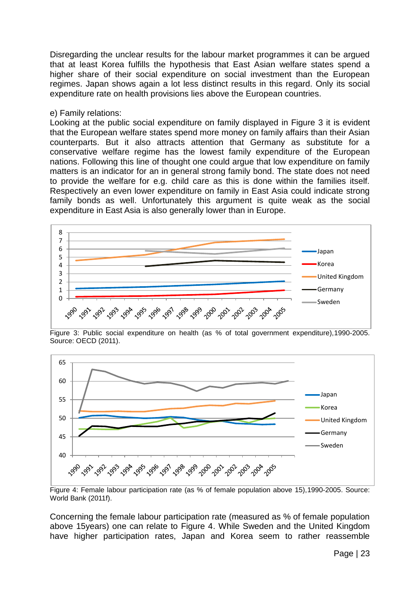Disregarding the unclear results for the labour market programmes it can be argued that at least Korea fulfills the hypothesis that East Asian welfare states spend a higher share of their social expenditure on social investment than the European regimes. Japan shows again a lot less distinct results in this regard. Only its social expenditure rate on health provisions lies above the European countries.

#### e) Family relations:

Looking at the public social expenditure on family displayed in Figure 3 it is evident that the European welfare states spend more money on family affairs than their Asian counterparts. But it also attracts attention that Germany as substitute for a conservative welfare regime has the lowest family expenditure of the European nations. Following this line of thought one could argue that low expenditure on family matters is an indicator for an in general strong family bond. The state does not need to provide the welfare for e.g. child care as this is done within the families itself. Respectively an even lower expenditure on family in East Asia could indicate strong family bonds as well. Unfortunately this argument is quite weak as the social expenditure in East Asia is also generally lower than in Europe.



Figure 3: Public social expenditure on health (as % of total government expenditure),1990-2005. Source: OECD (2011).



Figure 4: Female labour participation rate (as % of female population above 15),1990-2005. Source: World Bank (2011f).

Concerning the female labour participation rate (measured as % of female population above 15years) one can relate to Figure 4. While Sweden and the United Kingdom have higher participation rates, Japan and Korea seem to rather reassemble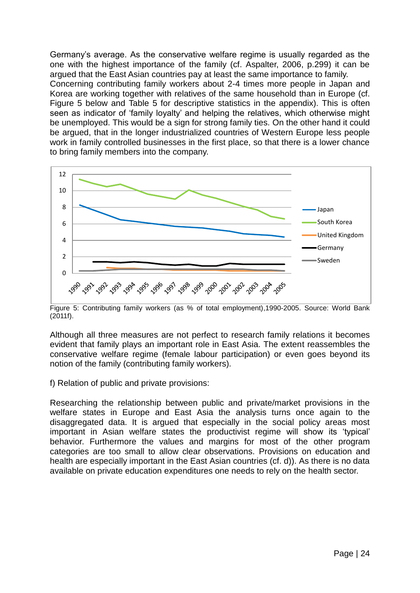Germany"s average. As the conservative welfare regime is usually regarded as the one with the highest importance of the family (cf. Aspalter, 2006, p.299) it can be argued that the East Asian countries pay at least the same importance to family. Concerning contributing family workers about 2-4 times more people in Japan and Korea are working together with relatives of the same household than in Europe (cf. Figure 5 below and Table 5 for descriptive statistics in the appendix). This is often seen as indicator of "family loyalty" and helping the relatives, which otherwise might be unemployed. This would be a sign for strong family ties. On the other hand it could be argued, that in the longer industrialized countries of Western Europe less people work in family controlled businesses in the first place, so that there is a lower chance to bring family members into the company.



Figure 5: Contributing family workers (as % of total employment),1990-2005. Source: World Bank (2011f).

Although all three measures are not perfect to research family relations it becomes evident that family plays an important role in East Asia. The extent reassembles the conservative welfare regime (female labour participation) or even goes beyond its notion of the family (contributing family workers).

f) Relation of public and private provisions:

Researching the relationship between public and private/market provisions in the welfare states in Europe and East Asia the analysis turns once again to the disaggregated data. It is argued that especially in the social policy areas most important in Asian welfare states the productivist regime will show its "typical" behavior. Furthermore the values and margins for most of the other program categories are too small to allow clear observations. Provisions on education and health are especially important in the East Asian countries (cf. d)). As there is no data available on private education expenditures one needs to rely on the health sector.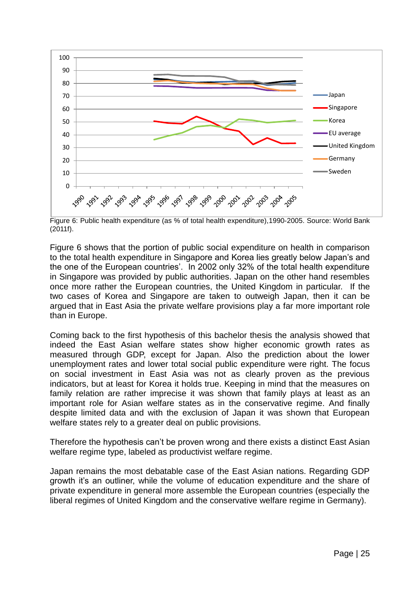

Figure 6: Public health expenditure (as % of total health expenditure),1990-2005. Source: World Bank (2011f).

Figure 6 shows that the portion of public social expenditure on health in comparison to the total health expenditure in Singapore and Korea lies greatly below Japan"s and the one of the European countries'. In 2002 only 32% of the total health expenditure in Singapore was provided by public authorities. Japan on the other hand resembles once more rather the European countries, the United Kingdom in particular. If the two cases of Korea and Singapore are taken to outweigh Japan, then it can be argued that in East Asia the private welfare provisions play a far more important role than in Europe.

Coming back to the first hypothesis of this bachelor thesis the analysis showed that indeed the East Asian welfare states show higher economic growth rates as measured through GDP, except for Japan. Also the prediction about the lower unemployment rates and lower total social public expenditure were right. The focus on social investment in East Asia was not as clearly proven as the previous indicators, but at least for Korea it holds true. Keeping in mind that the measures on family relation are rather imprecise it was shown that family plays at least as an important role for Asian welfare states as in the conservative regime. And finally despite limited data and with the exclusion of Japan it was shown that European welfare states rely to a greater deal on public provisions.

Therefore the hypothesis can"t be proven wrong and there exists a distinct East Asian welfare regime type, labeled as productivist welfare regime.

Japan remains the most debatable case of the East Asian nations. Regarding GDP growth it's an outliner, while the volume of education expenditure and the share of private expenditure in general more assemble the European countries (especially the liberal regimes of United Kingdom and the conservative welfare regime in Germany).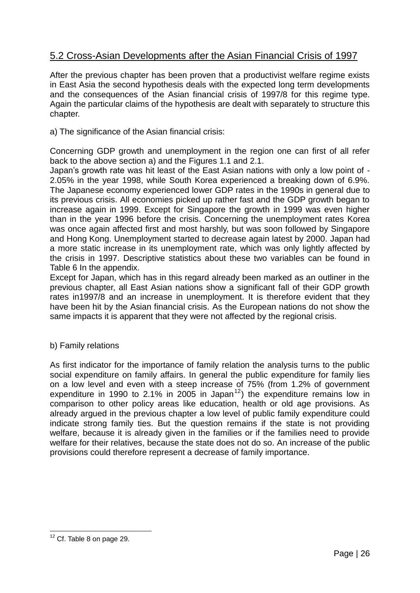## 5.2 Cross-Asian Developments after the Asian Financial Crisis of 1997

After the previous chapter has been proven that a productivist welfare regime exists in East Asia the second hypothesis deals with the expected long term developments and the consequences of the Asian financial crisis of 1997/8 for this regime type. Again the particular claims of the hypothesis are dealt with separately to structure this chapter.

a) The significance of the Asian financial crisis:

Concerning GDP growth and unemployment in the region one can first of all refer back to the above section a) and the Figures 1.1 and 2.1.

Japan"s growth rate was hit least of the East Asian nations with only a low point of - 2.05% in the year 1998, while South Korea experienced a breaking down of 6.9%. The Japanese economy experienced lower GDP rates in the 1990s in general due to its previous crisis. All economies picked up rather fast and the GDP growth began to increase again in 1999. Except for Singapore the growth in 1999 was even higher than in the year 1996 before the crisis. Concerning the unemployment rates Korea was once again affected first and most harshly, but was soon followed by Singapore and Hong Kong. Unemployment started to decrease again latest by 2000. Japan had a more static increase in its unemployment rate, which was only lightly affected by the crisis in 1997. Descriptive statistics about these two variables can be found in Table 6 In the appendix.

Except for Japan, which has in this regard already been marked as an outliner in the previous chapter, all East Asian nations show a significant fall of their GDP growth rates in1997/8 and an increase in unemployment. It is therefore evident that they have been hit by the Asian financial crisis. As the European nations do not show the same impacts it is apparent that they were not affected by the regional crisis.

#### b) Family relations

As first indicator for the importance of family relation the analysis turns to the public social expenditure on family affairs. In general the public expenditure for family lies on a low level and even with a steep increase of 75% (from 1.2% of government expenditure in 1990 to 2.1% in 2005 in Japan $^{12}$ ) the expenditure remains low in comparison to other policy areas like education, health or old age provisions. As already argued in the previous chapter a low level of public family expenditure could indicate strong family ties. But the question remains if the state is not providing welfare, because it is already given in the families or if the families need to provide welfare for their relatives, because the state does not do so. An increase of the public provisions could therefore represent a decrease of family importance.

<sup>1</sup>  $12$  Cf. Table 8 on page 29.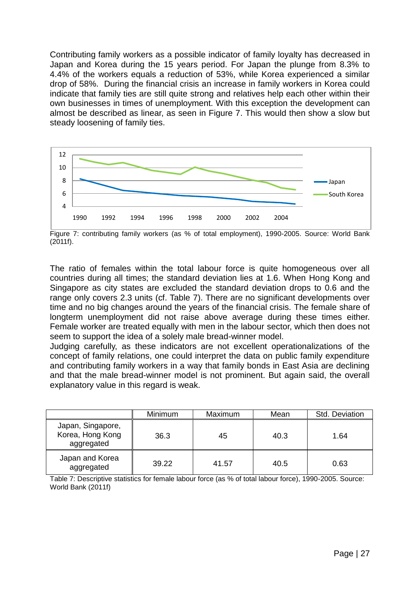Contributing family workers as a possible indicator of family loyalty has decreased in Japan and Korea during the 15 years period. For Japan the plunge from 8.3% to 4.4% of the workers equals a reduction of 53%, while Korea experienced a similar drop of 58%. During the financial crisis an increase in family workers in Korea could indicate that family ties are still quite strong and relatives help each other within their own businesses in times of unemployment. With this exception the development can almost be described as linear, as seen in Figure 7. This would then show a slow but steady loosening of family ties.



Figure 7: contributing family workers (as % of total employment), 1990-2005. Source: World Bank (2011f).

The ratio of females within the total labour force is quite homogeneous over all countries during all times; the standard deviation lies at 1.6. When Hong Kong and Singapore as city states are excluded the standard deviation drops to 0.6 and the range only covers 2.3 units (cf. Table 7). There are no significant developments over time and no big changes around the years of the financial crisis. The female share of longterm unemployment did not raise above average during these times either. Female worker are treated equally with men in the labour sector, which then does not seem to support the idea of a solely male bread-winner model.

Judging carefully, as these indicators are not excellent operationalizations of the concept of family relations, one could interpret the data on public family expenditure and contributing family workers in a way that family bonds in East Asia are declining and that the male bread-winner model is not prominent. But again said, the overall explanatory value in this regard is weak.

|                                                     | Minimum | Maximum | Mean | Std. Deviation |
|-----------------------------------------------------|---------|---------|------|----------------|
| Japan, Singapore,<br>Korea, Hong Kong<br>aggregated | 36.3    | 45      | 40.3 | 1.64           |
| Japan and Korea<br>aggregated                       | 39.22   | 41.57   | 40.5 | 0.63           |

Table 7: Descriptive statistics for female labour force (as % of total labour force), 1990-2005. Source: World Bank (2011f)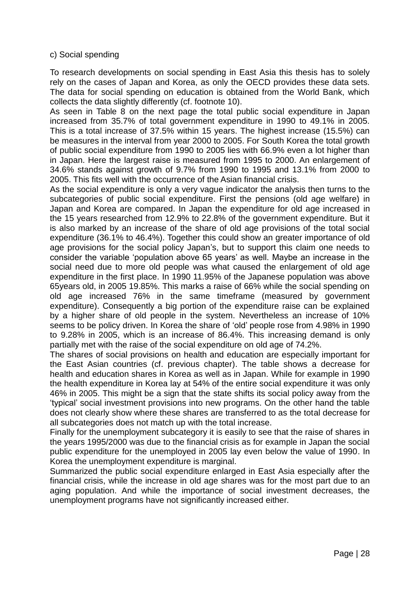#### c) Social spending

To research developments on social spending in East Asia this thesis has to solely rely on the cases of Japan and Korea, as only the OECD provides these data sets. The data for social spending on education is obtained from the World Bank, which collects the data slightly differently (cf. footnote 10).

As seen in Table 8 on the next page the total public social expenditure in Japan increased from 35.7% of total government expenditure in 1990 to 49.1% in 2005. This is a total increase of 37.5% within 15 years. The highest increase (15.5%) can be measures in the interval from year 2000 to 2005. For South Korea the total growth of public social expenditure from 1990 to 2005 lies with 66.9% even a lot higher than in Japan. Here the largest raise is measured from 1995 to 2000. An enlargement of 34.6% stands against growth of 9.7% from 1990 to 1995 and 13.1% from 2000 to 2005. This fits well with the occurrence of the Asian financial crisis.

As the social expenditure is only a very vague indicator the analysis then turns to the subcategories of public social expenditure. First the pensions (old age welfare) in Japan and Korea are compared. In Japan the expenditure for old age increased in the 15 years researched from 12.9% to 22.8% of the government expenditure. But it is also marked by an increase of the share of old age provisions of the total social expenditure (36.1% to 46.4%). Together this could show an greater importance of old age provisions for the social policy Japan"s, but to support this claim one needs to consider the variable "population above 65 years" as well. Maybe an increase in the social need due to more old people was what caused the enlargement of old age expenditure in the first place. In 1990 11.95% of the Japanese population was above 65years old, in 2005 19.85%. This marks a raise of 66% while the social spending on old age increased 76% in the same timeframe (measured by government expenditure). Consequently a big portion of the expenditure raise can be explained by a higher share of old people in the system. Nevertheless an increase of 10% seems to be policy driven. In Korea the share of "old" people rose from 4.98% in 1990 to 9.28% in 2005, which is an increase of 86.4%. This increasing demand is only partially met with the raise of the social expenditure on old age of 74.2%.

The shares of social provisions on health and education are especially important for the East Asian countries (cf. previous chapter). The table shows a decrease for health and education shares in Korea as well as in Japan. While for example in 1990 the health expenditure in Korea lay at 54% of the entire social expenditure it was only 46% in 2005. This might be a sign that the state shifts its social policy away from the "typical" social investment provisions into new programs. On the other hand the table does not clearly show where these shares are transferred to as the total decrease for all subcategories does not match up with the total increase.

Finally for the unemployment subcategory it is easily to see that the raise of shares in the years 1995/2000 was due to the financial crisis as for example in Japan the social public expenditure for the unemployed in 2005 lay even below the value of 1990. In Korea the unemployment expenditure is marginal.

Summarized the public social expenditure enlarged in East Asia especially after the financial crisis, while the increase in old age shares was for the most part due to an aging population. And while the importance of social investment decreases, the unemployment programs have not significantly increased either.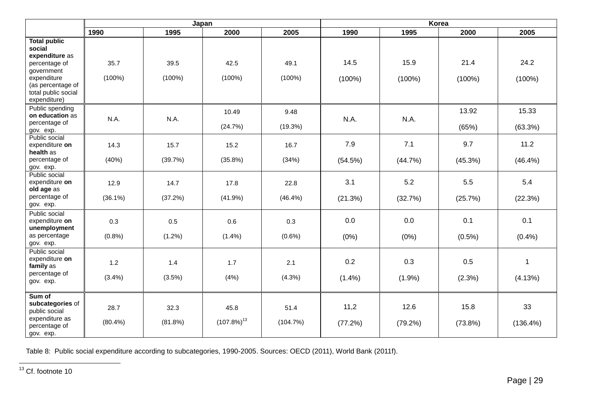|                                                                                                                                                           |                    | Japan              |                          |                    | Korea             |                    |                    |                     |  |
|-----------------------------------------------------------------------------------------------------------------------------------------------------------|--------------------|--------------------|--------------------------|--------------------|-------------------|--------------------|--------------------|---------------------|--|
|                                                                                                                                                           | 1990               | 1995               | 2000                     | 2005               | 1990              | 1995               | 2000               | 2005                |  |
| <b>Total public</b><br>social<br>expenditure as<br>percentage of<br>government<br>expenditure<br>(as percentage of<br>total public social<br>expenditure) | 35.7<br>$(100\%)$  | 39.5<br>$(100\%)$  | 42.5<br>$(100\%)$        | 49.1<br>$(100\%)$  | 14.5<br>$(100\%)$ | 15.9<br>$(100\%)$  | 21.4<br>$(100\%)$  | 24.2<br>$(100\%)$   |  |
| Public spending<br>on education as<br>percentage of<br>gov. exp.                                                                                          | N.A.               | N.A.               | 10.49<br>(24.7%)         | 9.48<br>$(19.3\%)$ | N.A.              | N.A.               | 13.92<br>(65%)     | 15.33<br>$(63.3\%)$ |  |
| Public social<br>expenditure on<br>health as<br>percentage of<br>gov. exp.                                                                                | 14.3<br>(40%)      | 15.7<br>(39.7%)    | 15.2<br>(35.8%)          | 16.7<br>(34%)      | 7.9<br>(54.5%)    | 7.1<br>(44.7%)     | 9.7<br>(45.3%)     | 11.2<br>$(46.4\%)$  |  |
| Public social<br>expenditure on<br>old age as<br>percentage of<br>gov. exp.                                                                               | 12.9<br>$(36.1\%)$ | 14.7<br>(37.2%)    | 17.8<br>(41.9%)          | 22.8<br>$(46.4\%)$ | 3.1<br>(21.3%)    | 5.2<br>(32.7%)     | 5.5<br>(25.7%)     | 5.4<br>(22.3%)      |  |
| Public social<br>expenditure on<br>unemployment<br>as percentage<br>gov. exp.                                                                             | 0.3<br>(0.8% )     | 0.5<br>$(1.2\%)$   | 0.6<br>$(1.4\%)$         | 0.3<br>$(0.6\%)$   | 0.0<br>(0%)       | 0.0<br>(0%)        | 0.1<br>$(0.5\%)$   | 0.1<br>(0.4% )      |  |
| Public social<br>expenditure on<br>family as<br>percentage of<br>gov. exp.                                                                                | 1.2<br>(3.4%)      | 1.4<br>(3.5%)      | 1.7<br>(4% )             | 2.1<br>(4.3%)      | 0.2<br>(1.4%)     | 0.3<br>(1.9%)      | 0.5<br>(2.3%)      | 1<br>(4.13%)        |  |
| Sum of<br>subcategories of<br>public social<br>expenditure as<br>percentage of<br>gov. exp.                                                               | 28.7<br>$(80.4\%)$ | 32.3<br>$(81.8\%)$ | 45.8<br>$(107.8\%)^{13}$ | 51.4<br>(104.7%)   | 11,2<br>(77.2%)   | 12.6<br>$(79.2\%)$ | 15.8<br>$(73.8\%)$ | 33<br>$(136.4\%)$   |  |

Table 8: Public social expenditure according to subcategories, 1990-2005. Sources: OECD (2011), World Bank (2011f).

 $\overline{a}$ 

<sup>&</sup>lt;sup>13</sup> Cf. footnote 10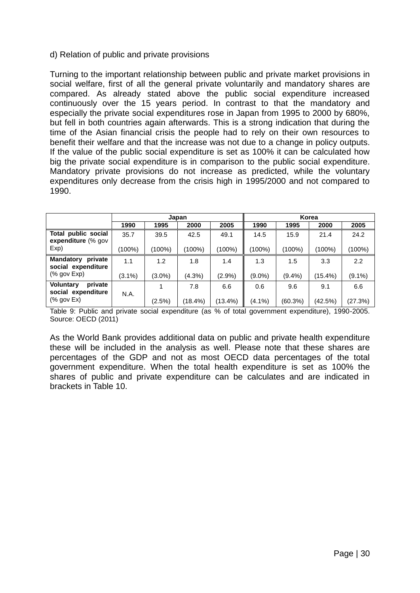#### d) Relation of public and private provisions

Turning to the important relationship between public and private market provisions in social welfare, first of all the general private voluntarily and mandatory shares are compared. As already stated above the public social expenditure increased continuously over the 15 years period. In contrast to that the mandatory and especially the private social expenditures rose in Japan from 1995 to 2000 by 680%, but fell in both countries again afterwards. This is a strong indication that during the time of the Asian financial crisis the people had to rely on their own resources to benefit their welfare and that the increase was not due to a change in policy outputs. If the value of the public social expenditure is set as 100% it can be calculated how big the private social expenditure is in comparison to the public social expenditure. Mandatory private provisions do not increase as predicted, while the voluntary expenditures only decrease from the crisis high in 1995/2000 and not compared to 1990.

|                                                   |           |           | Japan   |           |        |           | Korea   |           |
|---------------------------------------------------|-----------|-----------|---------|-----------|--------|-----------|---------|-----------|
|                                                   | 1990      | 1995      | 2000    | 2005      | 1990   | 1995      | 2000    | 2005      |
| Total public social<br>expenditure (% gov         | 35.7      | 39.5      | 42.5    | 49.1      | 14.5   | 15.9      | 21.4    | 24.2      |
| Exp)                                              | (100%)    | $(100\%)$ | (100%)  | $(100\%)$ | (100%) | (100%)    | (100%)  | (100%)    |
| <b>Mandatory</b><br>private<br>social expenditure | 1.1       | 1.2       | 1.8     | 1.4       | 1.3    | 1.5       | 3.3     | 2.2       |
| $%$ gov $Exp$                                     | $(3.1\%)$ | $(3.0\%)$ | (4.3%)  | $(2.9\%)$ | (9.0%) | $(9.4\%)$ | (15.4%) | $(9.1\%)$ |
| <b>Voluntary</b><br>private<br>social expenditure | N.A.      |           | 7.8     | 6.6       | 0.6    | 9.6       | 9.1     | 6.6       |
| $%$ gov Ex)                                       |           | $(2.5\%)$ | (18.4%) | (13.4%)   | (4.1%) | (60.3%)   | (42.5%) | (27.3%)   |

Table 9: Public and private social expenditure (as % of total government expenditure), 1990-2005. Source: OECD (2011)

As the World Bank provides additional data on public and private health expenditure these will be included in the analysis as well. Please note that these shares are percentages of the GDP and not as most OECD data percentages of the total government expenditure. When the total health expenditure is set as 100% the shares of public and private expenditure can be calculates and are indicated in brackets in Table 10.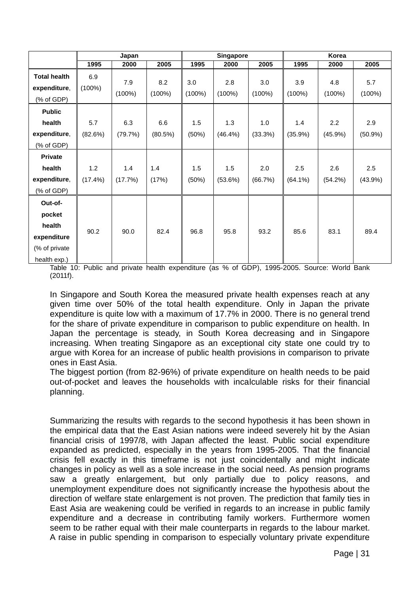|                                                                             |                   | Japan            |                  | <b>Singapore</b> |                  |                  | Korea             |                  |                |
|-----------------------------------------------------------------------------|-------------------|------------------|------------------|------------------|------------------|------------------|-------------------|------------------|----------------|
|                                                                             | 1995              | 2000             | 2005             | 1995             | 2000             | 2005             | 1995              | 2000             | 2005           |
| <b>Total health</b><br>expenditure,<br>(% of GDP)                           | 6.9<br>$(100\%)$  | 7.9<br>$(100\%)$ | 8.2<br>$(100\%)$ | 3.0<br>$(100\%)$ | 2.8<br>$(100\%)$ | 3.0<br>$(100\%)$ | 3.9<br>$(100\%)$  | 4.8<br>$(100\%)$ | 5.7<br>(100%)  |
| <b>Public</b><br>health                                                     | 5.7               | 6.3              | 6.6              | 1.5              | 1.3              | 1.0              | 1.4               | 2.2              | 2.9            |
| expenditure,<br>(% of GDP)                                                  | (82.6%)           | (79.7%)          | (80.5%)          | (50%)            | $(46.4\%)$       | (33.3%)          | $(35.9\%)$        | $(45.9\%)$       | $(50.9\%)$     |
| <b>Private</b><br>health<br>expenditure,<br>(% of GDP)                      | 1.2<br>$(17.4\%)$ | 1.4<br>(17.7%)   | 1.4<br>(17%)     | 1.5<br>(50%)     | 1.5<br>(53.6%)   | 2.0<br>(66.7%)   | 2.5<br>$(64.1\%)$ | 2.6<br>(54.2%)   | 2.5<br>(43.9%) |
| Out-of-<br>pocket<br>health<br>expenditure<br>(% of private<br>health exp.) | 90.2              | 90.0             | 82.4             | 96.8             | 95.8             | 93.2             | 85.6              | 83.1             | 89.4           |

Table 10: Public and private health expenditure (as % of GDP), 1995-2005. Source: World Bank (2011f).

In Singapore and South Korea the measured private health expenses reach at any given time over 50% of the total health expenditure. Only in Japan the private expenditure is quite low with a maximum of 17.7% in 2000. There is no general trend for the share of private expenditure in comparison to public expenditure on health. In Japan the percentage is steady, in South Korea decreasing and in Singapore increasing. When treating Singapore as an exceptional city state one could try to argue with Korea for an increase of public health provisions in comparison to private ones in East Asia.

The biggest portion (from 82-96%) of private expenditure on health needs to be paid out-of-pocket and leaves the households with incalculable risks for their financial planning.

Summarizing the results with regards to the second hypothesis it has been shown in the empirical data that the East Asian nations were indeed severely hit by the Asian financial crisis of 1997/8, with Japan affected the least. Public social expenditure expanded as predicted, especially in the years from 1995-2005. That the financial crisis fell exactly in this timeframe is not just coincidentally and might indicate changes in policy as well as a sole increase in the social need. As pension programs saw a greatly enlargement, but only partially due to policy reasons, and unemployment expenditure does not significantly increase the hypothesis about the direction of welfare state enlargement is not proven. The prediction that family ties in East Asia are weakening could be verified in regards to an increase in public family expenditure and a decrease in contributing family workers. Furthermore women seem to be rather equal with their male counterparts in regards to the labour market. A raise in public spending in comparison to especially voluntary private expenditure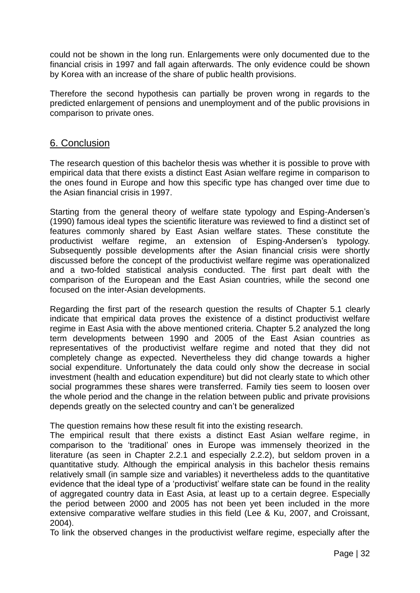could not be shown in the long run. Enlargements were only documented due to the financial crisis in 1997 and fall again afterwards. The only evidence could be shown by Korea with an increase of the share of public health provisions.

Therefore the second hypothesis can partially be proven wrong in regards to the predicted enlargement of pensions and unemployment and of the public provisions in comparison to private ones.

## 6. Conclusion

The research question of this bachelor thesis was whether it is possible to prove with empirical data that there exists a distinct East Asian welfare regime in comparison to the ones found in Europe and how this specific type has changed over time due to the Asian financial crisis in 1997.

Starting from the general theory of welfare state typology and Esping-Andersen"s (1990) famous ideal types the scientific literature was reviewed to find a distinct set of features commonly shared by East Asian welfare states. These constitute the productivist welfare regime, an extension of Esping-Andersen's typology. Subsequently possible developments after the Asian financial crisis were shortly discussed before the concept of the productivist welfare regime was operationalized and a two-folded statistical analysis conducted. The first part dealt with the comparison of the European and the East Asian countries, while the second one focused on the inter-Asian developments.

Regarding the first part of the research question the results of Chapter 5.1 clearly indicate that empirical data proves the existence of a distinct productivist welfare regime in East Asia with the above mentioned criteria. Chapter 5.2 analyzed the long term developments between 1990 and 2005 of the East Asian countries as representatives of the productivist welfare regime and noted that they did not completely change as expected. Nevertheless they did change towards a higher social expenditure. Unfortunately the data could only show the decrease in social investment (health and education expenditure) but did not clearly state to which other social programmes these shares were transferred. Family ties seem to loosen over the whole period and the change in the relation between public and private provisions depends greatly on the selected country and can"t be generalized

The question remains how these result fit into the existing research.

The empirical result that there exists a distinct East Asian welfare regime, in comparison to the "traditional" ones in Europe was immensely theorized in the literature (as seen in Chapter 2.2.1 and especially 2.2.2), but seldom proven in a quantitative study. Although the empirical analysis in this bachelor thesis remains relatively small (in sample size and variables) it nevertheless adds to the quantitative evidence that the ideal type of a "productivist" welfare state can be found in the reality of aggregated country data in East Asia, at least up to a certain degree. Especially the period between 2000 and 2005 has not been yet been included in the more extensive comparative welfare studies in this field (Lee & Ku, 2007, and Croissant, 2004).

To link the observed changes in the productivist welfare regime, especially after the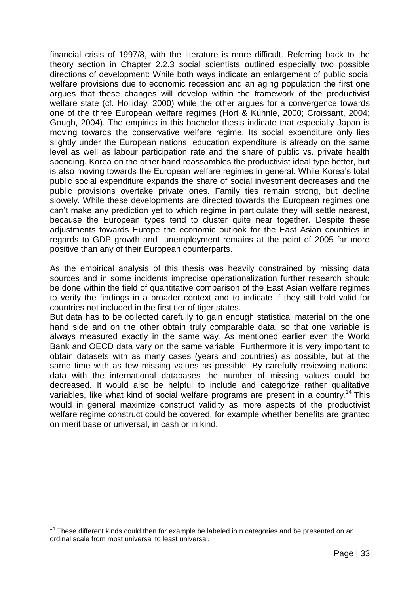financial crisis of 1997/8, with the literature is more difficult. Referring back to the theory section in Chapter 2.2.3 social scientists outlined especially two possible directions of development: While both ways indicate an enlargement of public social welfare provisions due to economic recession and an aging population the first one argues that these changes will develop within the framework of the productivist welfare state (cf. Holliday, 2000) while the other argues for a convergence towards one of the three European welfare regimes (Hort & Kuhnle, 2000; Croissant, 2004; Gough, 2004). The empirics in this bachelor thesis indicate that especially Japan is moving towards the conservative welfare regime. Its social expenditure only lies slightly under the European nations, education expenditure is already on the same level as well as labour participation rate and the share of public vs. private health spending. Korea on the other hand reassambles the productivist ideal type better, but is also moving towards the European welfare regimes in general. While Korea"s total public social expenditure expands the share of social investment decreases and the public provisions overtake private ones. Family ties remain strong, but decline slowely. While these developments are directed towards the European regimes one can"t make any prediction yet to which regime in particulate they will settle nearest, because the European types tend to cluster quite near together. Despite these adjustments towards Europe the economic outlook for the East Asian countries in regards to GDP growth and unemployment remains at the point of 2005 far more positive than any of their European counterparts.

As the empirical analysis of this thesis was heavily constrained by missing data sources and in some incidents imprecise operationalization further research should be done within the field of quantitative comparison of the East Asian welfare regimes to verify the findings in a broader context and to indicate if they still hold valid for countries not included in the first tier of tiger states.

But data has to be collected carefully to gain enough statistical material on the one hand side and on the other obtain truly comparable data, so that one variable is always measured exactly in the same way. As mentioned earlier even the World Bank and OECD data vary on the same variable. Furthermore it is very important to obtain datasets with as many cases (years and countries) as possible, but at the same time with as few missing values as possible. By carefully reviewing national data with the international databases the number of missing values could be decreased. It would also be helpful to include and categorize rather qualitative variables, like what kind of social welfare programs are present in a country.<sup>14</sup> This would in general maximize construct validity as more aspects of the productivist welfare regime construct could be covered, for example whether benefits are granted on merit base or universal, in cash or in kind.

<sup>&</sup>lt;u>.</u>  $14$  These different kinds could then for example be labeled in n categories and be presented on an ordinal scale from most universal to least universal.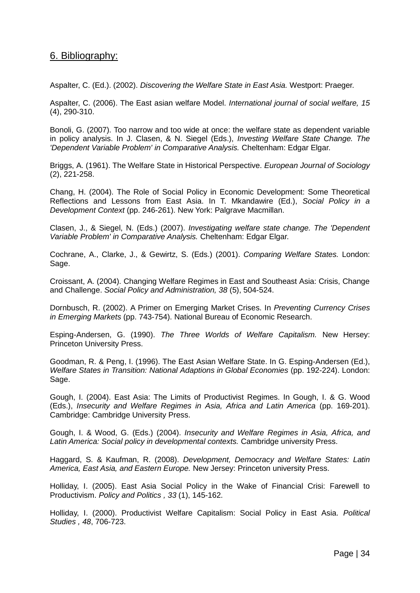## 6. Bibliography:

Aspalter, C. (Ed.). (2002). *Discovering the Welfare State in East Asia.* Westport: Praeger.

Aspalter, C. (2006). The East asian welfare Model. *International journal of social welfare, 15* (4), 290-310.

Bonoli, G. (2007). Too narrow and too wide at once: the welfare state as dependent variable in policy analysis. In J. Clasen, & N. Siegel (Eds.), *Investing Welfare State Change. The 'Dependent Variable Problem' in Comparative Analysis.* Cheltenham: Edgar Elgar.

Briggs, A. (1961). The Welfare State in Historical Perspective. *European Journal of Sociology* (2), 221-258.

Chang, H. (2004). The Role of Social Policy in Economic Development: Some Theoretical Reflections and Lessons from East Asia. In T. Mkandawire (Ed.), *Social Policy in a Development Context* (pp. 246-261). New York: Palgrave Macmillan.

Clasen, J., & Siegel, N. (Eds.) (2007). *Investigating welfare state change. The 'Dependent Variable Problem' in Comparative Analysis.* Cheltenham: Edgar Elgar.

Cochrane, A., Clarke, J., & Gewirtz, S. (Eds.) (2001). *Comparing Welfare States.* London: Sage.

Croissant, A. (2004). Changing Welfare Regimes in East and Southeast Asia: Crisis, Change and Challenge. *Social Policy and Administration, 38* (5), 504-524.

Dornbusch, R. (2002). A Primer on Emerging Market Crises. In *Preventing Currency Crises in Emerging Markets* (pp. 743-754). National Bureau of Economic Research.

Esping-Andersen, G. (1990). *The Three Worlds of Welfare Capitalism.* New Hersey: Princeton University Press.

Goodman, R. & Peng, I. (1996). The East Asian Welfare State. In G. Esping-Andersen (Ed.), *Welfare States in Transition: National Adaptions in Global Economies* (pp. 192-224). London: Sage.

Gough, I. (2004). East Asia: The Limits of Productivist Regimes. In Gough, I. & G. Wood (Eds.), *Insecurity and Welfare Regimes in Asia, Africa and Latin America* (pp. 169-201). Cambridge: Cambridge University Press.

Gough, I. & Wood, G. (Eds.) (2004). *Insecurity and Welfare Regimes in Asia, Africa, and Latin America: Social policy in developmental contexts.* Cambridge university Press.

Haggard, S. & Kaufman, R. (2008). *Development, Democracy and Welfare States: Latin America, East Asia, and Eastern Europe.* New Jersey: Princeton university Press.

Holliday, I. (2005). East Asia Social Policy in the Wake of Financial Crisi: Farewell to Productivism. *Policy and Politics , 33* (1), 145-162.

Holliday, I. (2000). Productivist Welfare Capitalism: Social Policy in East Asia. *Political Studies , 48*, 706-723.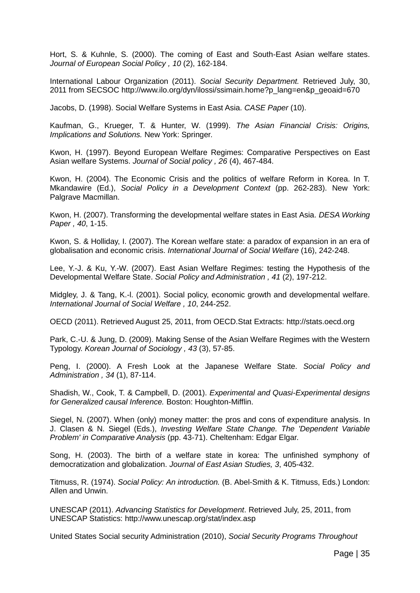Hort, S. & Kuhnle, S. (2000). The coming of East and South-East Asian welfare states. *Journal of European Social Policy , 10* (2), 162-184.

International Labour Organization (2011). *Social Security Department.* Retrieved July, 30, 2011 from SECSOC http://www.ilo.org/dyn/ilossi/ssimain.home?p\_lang=en&p\_geoaid=670

Jacobs, D. (1998). Social Welfare Systems in East Asia. *CASE Paper* (10).

Kaufman, G., Krueger, T. & Hunter, W. (1999). *The Asian Financial Crisis: Origins, Implications and Solutions.* New York: Springer.

Kwon, H. (1997). Beyond European Welfare Regimes: Comparative Perspectives on East Asian welfare Systems. *Journal of Social policy , 26* (4), 467-484.

Kwon, H. (2004). The Economic Crisis and the politics of welfare Reform in Korea. In T. Mkandawire (Ed.), *Social Policy in a Development Context* (pp. 262-283). New York: Palgrave Macmillan.

Kwon, H. (2007). Transforming the developmental welfare states in East Asia. *DESA Working Paper , 40*, 1-15.

Kwon, S. & Holliday, I. (2007). The Korean welfare state: a paradox of expansion in an era of globalisation and economic crisis. *International Journal of Social Welfare* (16), 242-248.

Lee, Y.-J. & Ku, Y.-W. (2007). East Asian Welfare Regimes: testing the Hypothesis of the Developmental Welfare State. *Social Policy and Administration , 41* (2), 197-212.

Midgley, J. & Tang, K.-l. (2001). Social policy, economic growth and developmental welfare. *International Journal of Social Welfare , 10*, 244-252.

OECD (2011). Retrieved August 25, 2011, from OECD.Stat Extracts: http://stats.oecd.org

Park, C.-U. & Jung, D. (2009). Making Sense of the Asian Welfare Regimes with the Western Typology. *Korean Journal of Sociology , 43* (3), 57-85.

Peng, I. (2000). A Fresh Look at the Japanese Welfare State. *Social Policy and Administration , 34* (1), 87-114.

Shadish, W., Cook, T. & Campbell, D. (2001). *Experimental and Quasi-Experimental designs for Generalized causal Inference.* Boston: Houghton-Mifflin.

Siegel, N. (2007). When (only) money matter: the pros and cons of expenditure analysis. In J. Clasen & N. Siegel (Eds.), *Investing Welfare State Change. The 'Dependent Variable Problem' in Comparative Analysis* (pp. 43-71). Cheltenham: Edgar Elgar.

Song, H. (2003). The birth of a welfare state in korea: The unfinished symphony of democratization and globalization. *Journal of East Asian Studies, 3*, 405-432.

Titmuss, R. (1974). *Social Policy: An introduction.* (B. Abel-Smith & K. Titmuss, Eds.) London: Allen and Unwin.

UNESCAP (2011). *Advancing Statistics for Development*. Retrieved July, 25, 2011, from UNESCAP Statistics: http://www.unescap.org/stat/index.asp

United States Social security Administration (2010), *Social Security Programs Throughout*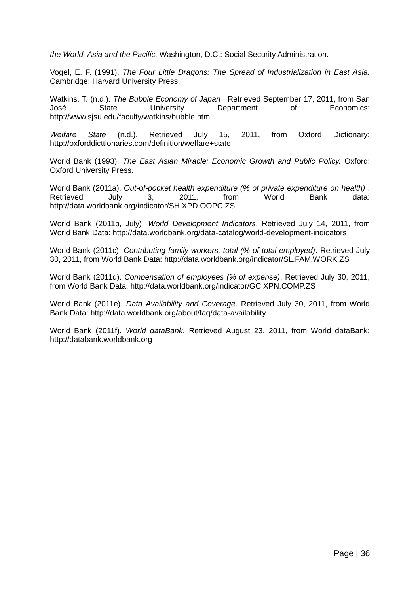*the World, Asia and the Pacific.* Washington, D.C.: Social Security Administration.

Vogel, E. F. (1991). *The Four Little Dragons: The Spread of Industrialization in East Asia.* Cambridge: Harvard University Press.

Watkins, T. (n.d.). *The Bubble Economy of Japan* . Retrieved September 17, 2011, from San José State University Department of Economics: http://www.sjsu.edu/faculty/watkins/bubble.htm

*Welfare State* (n.d.). Retrieved July 15, 2011, from Oxford Dictionary: http://oxforddicttionaries.com/definition/welfare+state

World Bank (1993). *The East Asian Miracle: Economic Growth and Public Policy.* Oxford: Oxford University Press.

World Bank (2011a). *Out-of-pocket health expenditure (% of private expenditure on health)* . Retrieved July 3, 2011, from World Bank data: http://data.worldbank.org/indicator/SH.XPD.OOPC.ZS

World Bank (2011b, July). *World Development Indicators*. Retrieved July 14, 2011, from World Bank Data: http://data.worldbank.org/data-catalog/world-development-indicators

World Bank (2011c). *Contributing family workers, total (% of total employed)*. Retrieved July 30, 2011, from World Bank Data: http://data.worldbank.org/indicator/SL.FAM.WORK.ZS

World Bank (2011d). *Compensation of employees (% of expense)*. Retrieved July 30, 2011, from World Bank Data: http://data.worldbank.org/indicator/GC.XPN.COMP.ZS

World Bank (2011e). *Data Availability and Coverage*. Retrieved July 30, 2011, from World Bank Data: http://data.worldbank.org/about/faq/data-availability

World Bank (2011f). *World dataBank*. Retrieved August 23, 2011, from World dataBank: http://databank.worldbank.org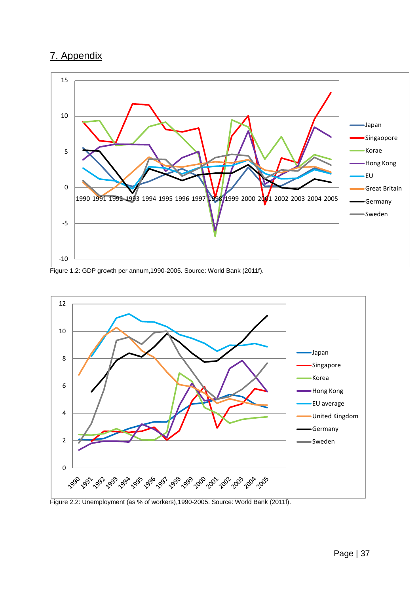## 7. Appendix



Figure 1.2: GDP growth per annum,1990-2005. Source: World Bank (2011f).

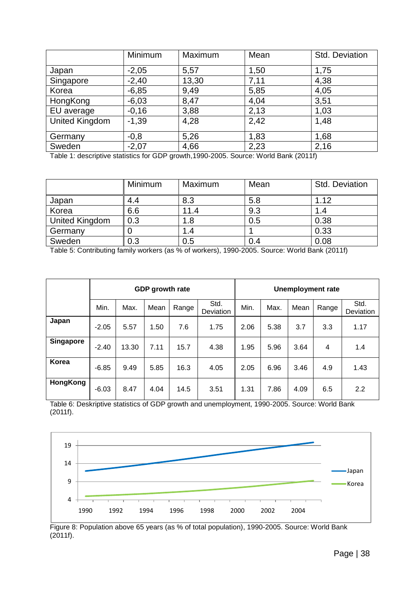|                       | Minimum            | Maximum   | Mean             | Std. Deviation |
|-----------------------|--------------------|-----------|------------------|----------------|
| Japan                 | $-2,05$            | 5,57      | 1,50             | 1,75           |
| Singapore             | $-2,40$            | 13,30     | 7,11             | 4,38           |
| Korea                 | $-6,85$            | 9,49      | 5,85             | 4,05           |
| HongKong              | $-6,03$            | 8,47      | 4,04             | 3,51           |
| EU average            | $-0,16$            | 3,88      | 2,13             | 1,03           |
| <b>United Kingdom</b> | $-1,39$            | 4,28      | 2,42             | 1,48           |
| Germany               | $-0,8$             | 5,26      | 1,83             | 1,68           |
| Sweden<br>_           | $-2,07$<br>$- - -$ | 4,66<br>. | 2,23<br>$\cdots$ | 2,16           |

Table 1: descriptive statistics for GDP growth,1990-2005. Source: World Bank (2011f)

|                       | Minimum | Maximum | Mean | Std. Deviation |
|-----------------------|---------|---------|------|----------------|
| Japan                 | 4.4     | 8.3     | 5.8  | 1.12           |
| Korea                 | 6.6     | 11.4    | 9.3  | l .4           |
| <b>United Kingdom</b> | 0.3     | 1.8     | 0.5  | 0.38           |
| Germany               |         | 1.4     |      | 0.33           |
| Sweden                | 0.3     | 0.5     | 0.4  | 0.08           |

Table 5: Contributing family workers (as % of workers), 1990-2005. Source: World Bank (2011f)

|           |         |       | GDP growth rate |       |                   | <b>Unemployment rate</b> |      |      |       |                   |
|-----------|---------|-------|-----------------|-------|-------------------|--------------------------|------|------|-------|-------------------|
|           | Min.    | Max.  | Mean            | Range | Std.<br>Deviation | Min.                     | Max. | Mean | Range | Std.<br>Deviation |
| Japan     | $-2.05$ | 5.57  | 1.50            | 7.6   | 1.75              | 2.06                     | 5.38 | 3.7  | 3.3   | 1.17              |
| Singapore | $-2.40$ | 13.30 | 7.11            | 15.7  | 4.38              | 1.95                     | 5.96 | 3.64 | 4     | 1.4               |
| Korea     | $-6.85$ | 9.49  | 5.85            | 16.3  | 4.05              | 2.05                     | 6.96 | 3.46 | 4.9   | 1.43              |
| HongKong  | $-6.03$ | 8.47  | 4.04            | 14.5  | 3.51              | 1.31                     | 7.86 | 4.09 | 6.5   | 2.2               |

Table 6: Deskriptive statistics of GDP growth and unemployment, 1990-2005. Source: World Bank (2011f).



Figure 8: Population above 65 years (as % of total population), 1990-2005. Source: World Bank  $(2011f)$ .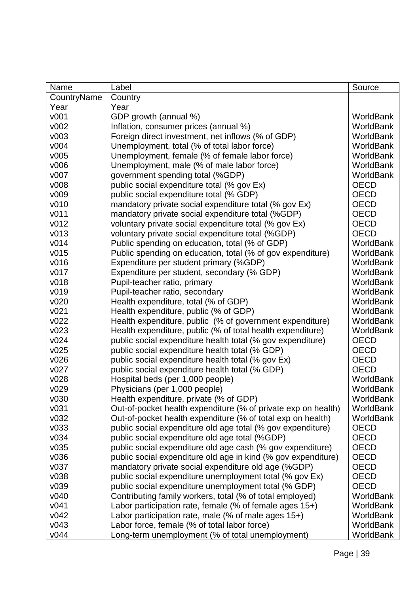| Name             | Label                                                         | Source           |
|------------------|---------------------------------------------------------------|------------------|
| CountryName      | Country                                                       |                  |
| Year             | Year                                                          |                  |
| v001             | GDP growth (annual %)                                         | WorldBank        |
| v002             | Inflation, consumer prices (annual %)                         | <b>WorldBank</b> |
| v003             | Foreign direct investment, net inflows (% of GDP)             | <b>WorldBank</b> |
| v004             | Unemployment, total (% of total labor force)                  | <b>WorldBank</b> |
| v005             | Unemployment, female (% of female labor force)                | WorldBank        |
| v006             | Unemployment, male (% of male labor force)                    | WorldBank        |
| v007             | government spending total (%GDP)                              | <b>WorldBank</b> |
| v008             | public social expenditure total (% gov Ex)                    | <b>OECD</b>      |
| v009             | public social expenditure total (% GDP)                       | <b>OECD</b>      |
| v010             | mandatory private social expenditure total (% gov Ex)         | <b>OECD</b>      |
| v <sub>011</sub> | mandatory private social expenditure total (%GDP)             | <b>OECD</b>      |
| v012             | voluntary private social expenditure total (% gov Ex)         | <b>OECD</b>      |
| v013             | voluntary private social expenditure total (%GDP)             | <b>OECD</b>      |
| v014             | Public spending on education, total (% of GDP)                | <b>WorldBank</b> |
| v015             | Public spending on education, total (% of gov expenditure)    | <b>WorldBank</b> |
| v016             | Expenditure per student primary (%GDP)                        | WorldBank        |
| v017             | Expenditure per student, secondary (% GDP)                    | WorldBank        |
| v018             | Pupil-teacher ratio, primary                                  | <b>WorldBank</b> |
| v019             | Pupil-teacher ratio, secondary                                | WorldBank        |
| v020             | Health expenditure, total (% of GDP)                          | WorldBank        |
| v021             | Health expenditure, public (% of GDP)                         | <b>WorldBank</b> |
| v022             | Health expenditure, public (% of government expenditure)      | <b>WorldBank</b> |
| v023             | Health expenditure, public (% of total health expenditure)    | WorldBank        |
| v024             | public social expenditure health total (% gov expenditure)    | <b>OECD</b>      |
| v025             | public social expenditure health total (% GDP)                | <b>OECD</b>      |
| v026             | public social expenditure health total (% gov Ex)             | <b>OECD</b>      |
| v027             | public social expenditure health total (% GDP)                | <b>OECD</b>      |
| v028             | Hospital beds (per 1,000 people)                              | <b>WorldBank</b> |
| v029             | Physicians (per 1,000 people)                                 | WorldBank        |
| v030             | Health expenditure, private (% of GDP)                        | WorldBank        |
| v031             | Out-of-pocket health expenditure (% of private exp on health) | WorldBank        |
| v032             | Out-of-pocket health expenditure (% of total exp on health)   | WorldBank        |
| v033             | public social expenditure old age total (% gov expenditure)   | <b>OECD</b>      |
| v034             | public social expenditure old age total (%GDP)                | <b>OECD</b>      |
| v035             | public social expenditure old age cash (% gov expenditure)    | <b>OECD</b>      |
| v036             | public social expenditure old age in kind (% gov expenditure) | <b>OECD</b>      |
| v037             | mandatory private social expenditure old age (%GDP)           | <b>OECD</b>      |
| v038             | public social expenditure unemployment total (% gov Ex)       | <b>OECD</b>      |
| v039             | public social expenditure unemployment total (% GDP)          | <b>OECD</b>      |
| v040             | Contributing family workers, total (% of total employed)      | WorldBank        |
| v041             | Labor participation rate, female (% of female ages 15+)       | WorldBank        |
| v042             | Labor participation rate, male (% of male ages 15+)           | WorldBank        |
| v043             | Labor force, female (% of total labor force)                  | WorldBank        |
| v044             | Long-term unemployment (% of total unemployment)              | WorldBank        |